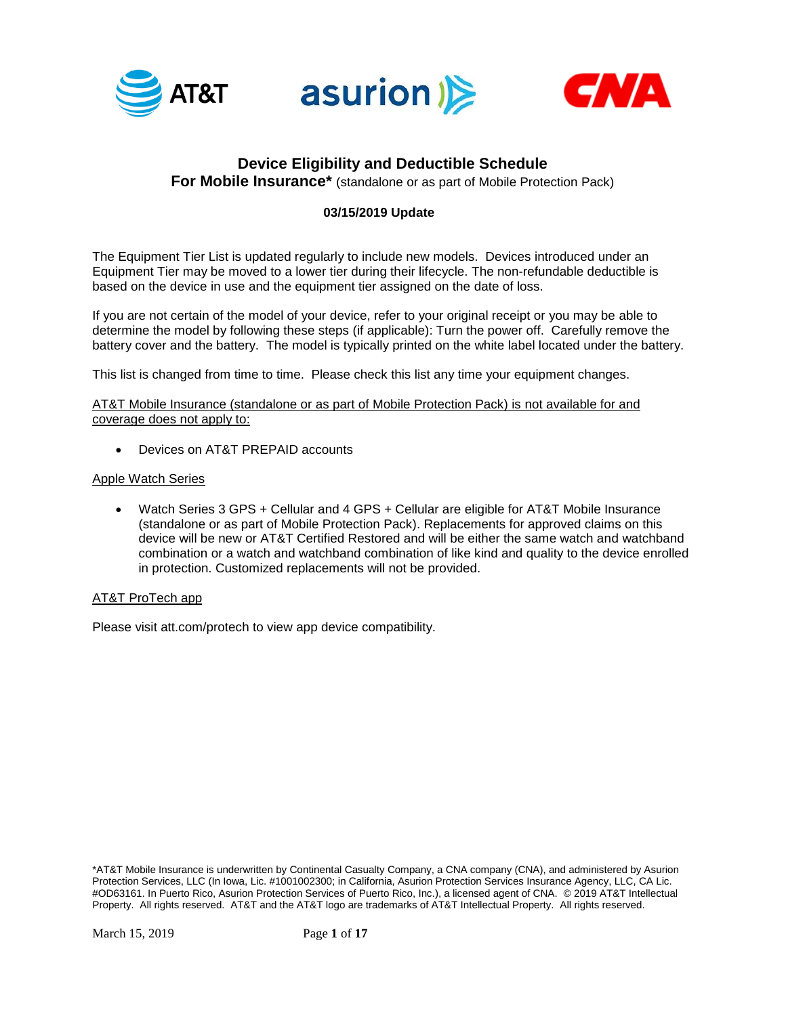





## **Device Eligibility and Deductible Schedule**

**For Mobile Insurance\*** (standalone or as part of Mobile Protection Pack)

## **03/15/2019 Update**

The Equipment Tier List is updated regularly to include new models. Devices introduced under an Equipment Tier may be moved to a lower tier during their lifecycle. The non-refundable deductible is based on the device in use and the equipment tier assigned on the date of loss.

If you are not certain of the model of your device, refer to your original receipt or you may be able to determine the model by following these steps (if applicable): Turn the power off. Carefully remove the battery cover and the battery. The model is typically printed on the white label located under the battery.

This list is changed from time to time. Please check this list any time your equipment changes.

AT&T Mobile Insurance (standalone or as part of Mobile Protection Pack) is not available for and coverage does not apply to:

• Devices on AT&T PREPAID accounts

## Apple Watch Series

• Watch Series 3 GPS + Cellular and 4 GPS + Cellular are eligible for AT&T Mobile Insurance (standalone or as part of Mobile Protection Pack). Replacements for approved claims on this device will be new or AT&T Certified Restored and will be either the same watch and watchband combination or a watch and watchband combination of like kind and quality to the device enrolled in protection. Customized replacements will not be provided.

## AT&T ProTech app

Please visit att.com/protech to view app device compatibility.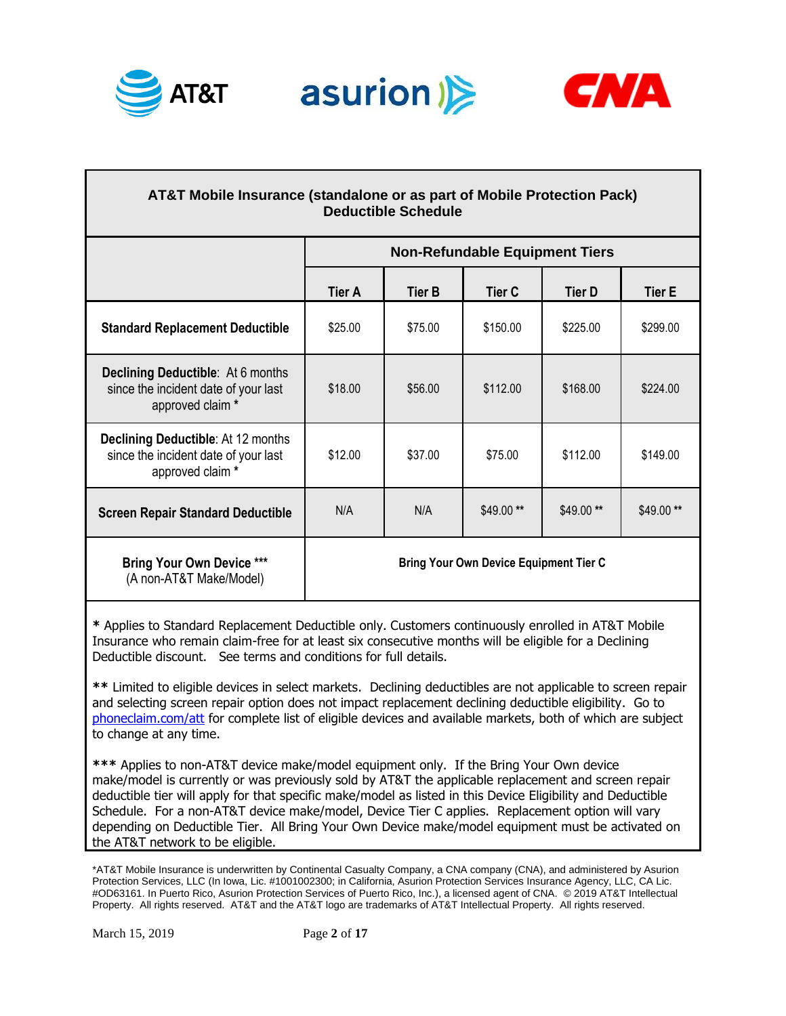





| <b>AT&amp;T Mobile Insurance (standalone or as part of Mobile Protection Pack)</b><br><b>Deductible Schedule</b> |                                               |                                       |               |               |               |  |
|------------------------------------------------------------------------------------------------------------------|-----------------------------------------------|---------------------------------------|---------------|---------------|---------------|--|
|                                                                                                                  |                                               | <b>Non-Refundable Equipment Tiers</b> |               |               |               |  |
|                                                                                                                  | <b>Tier A</b>                                 | <b>Tier B</b>                         | <b>Tier C</b> | <b>Tier D</b> | <b>Tier E</b> |  |
| <b>Standard Replacement Deductible</b>                                                                           | \$25.00                                       | \$75.00                               | \$150.00      | \$225.00      | \$299.00      |  |
| <b>Declining Deductible:</b> At 6 months<br>since the incident date of your last<br>approved claim *             | \$18.00                                       | \$56.00                               | \$112.00      | \$168.00      | \$224.00      |  |
| <b>Declining Deductible: At 12 months</b><br>since the incident date of your last<br>approved claim *            | \$12.00                                       | \$37.00                               | \$75.00       | \$112.00      | \$149.00      |  |
| <b>Screen Repair Standard Deductible</b>                                                                         | N/A                                           | N/A                                   | \$49.00**     | $$49.00**$    | \$49.00**     |  |
| <b>Bring Your Own Device ***</b><br>(A non-AT&T Make/Model)                                                      | <b>Bring Your Own Device Equipment Tier C</b> |                                       |               |               |               |  |

**\*** Applies to Standard Replacement Deductible only. Customers continuously enrolled in AT&T Mobile Insurance who remain claim-free for at least six consecutive months will be eligible for a Declining Deductible discount. See terms and conditions for full details.

**\*\*** Limited to eligible devices in select markets. Declining deductibles are not applicable to screen repair and selecting screen repair option does not impact replacement declining deductible eligibility. Go to [phoneclaim.com/att](http://www.phoneclaim.com/att) for complete list of eligible devices and available markets, both of which are subject to change at any time.

**\*\*\*** Applies to non-AT&T device make/model equipment only. If the Bring Your Own device make/model is currently or was previously sold by AT&T the applicable replacement and screen repair deductible tier will apply for that specific make/model as listed in this Device Eligibility and Deductible Schedule. For a non-AT&T device make/model, Device Tier C applies. Replacement option will vary depending on Deductible Tier. All Bring Your Own Device make/model equipment must be activated on the AT&T network to be eligible.

<sup>\*</sup>AT&T Mobile Insurance is underwritten by Continental Casualty Company, a CNA company (CNA), and administered by Asurion Protection Services, LLC (In Iowa, Lic. #1001002300; in California, Asurion Protection Services Insurance Agency, LLC, CA Lic. #OD63161. In Puerto Rico, Asurion Protection Services of Puerto Rico, Inc.), a licensed agent of CNA. © 2019 AT&T Intellectual Property. All rights reserved. AT&T and the AT&T logo are trademarks of AT&T Intellectual Property. All rights reserved.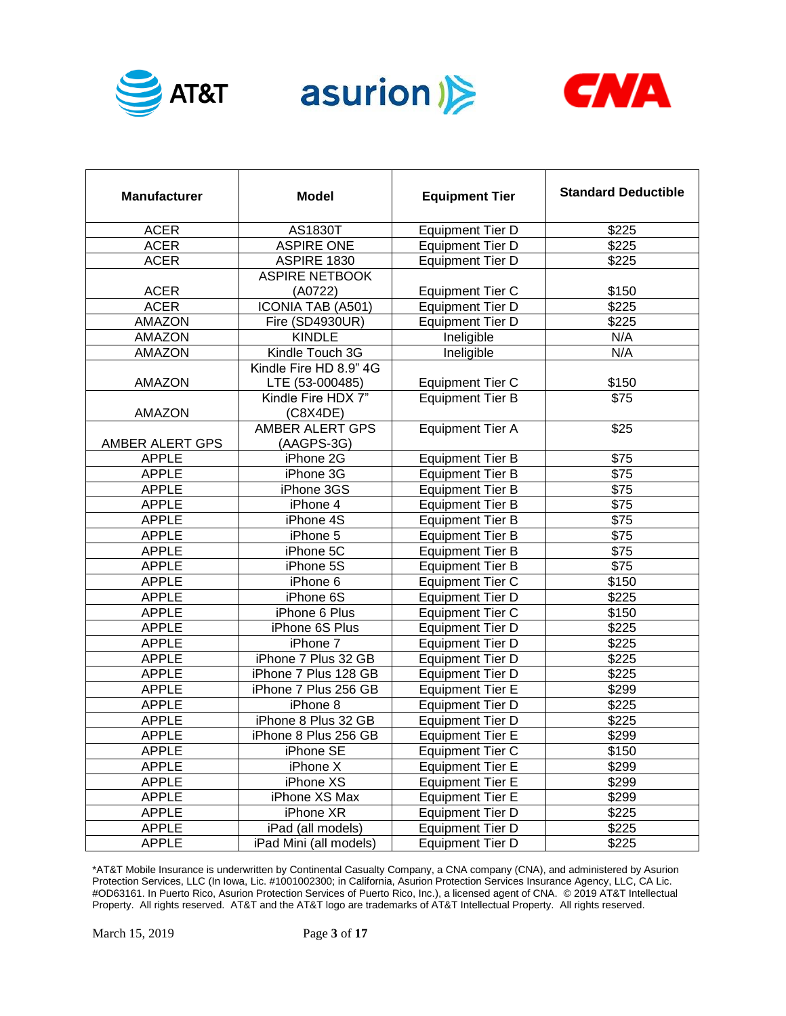





| <b>Manufacturer</b> | <b>Model</b>           | <b>Equipment Tier</b>   | <b>Standard Deductible</b> |
|---------------------|------------------------|-------------------------|----------------------------|
| <b>ACER</b>         | AS1830T                | <b>Equipment Tier D</b> | \$225                      |
| <b>ACER</b>         | <b>ASPIRE ONE</b>      | <b>Equipment Tier D</b> | \$225                      |
| <b>ACER</b>         | ASPIRE 1830            | <b>Equipment Tier D</b> | \$225                      |
|                     | <b>ASPIRE NETBOOK</b>  |                         |                            |
| <b>ACER</b>         | (A0722)                | <b>Equipment Tier C</b> | \$150                      |
| <b>ACER</b>         | ICONIA TAB (A501)      | <b>Equipment Tier D</b> | \$225                      |
| <b>AMAZON</b>       | Fire (SD4930UR)        | <b>Equipment Tier D</b> | \$225                      |
| AMAZON              | <b>KINDLE</b>          | Ineligible              | N/A                        |
| <b>AMAZON</b>       | Kindle Touch 3G        | Ineligible              | N/A                        |
|                     | Kindle Fire HD 8.9" 4G |                         |                            |
| AMAZON              | LTE (53-000485)        | <b>Equipment Tier C</b> | \$150                      |
|                     | Kindle Fire HDX 7"     | Equipment Tier B        | $\overline{$75}$           |
| AMAZON              | (C8X4DE)               |                         |                            |
|                     | AMBER ALERT GPS        | Equipment Tier A        | \$25                       |
| AMBER ALERT GPS     | (AAGPS-3G)             |                         |                            |
| <b>APPLE</b>        | iPhone 2G              | <b>Equipment Tier B</b> | \$75                       |
| <b>APPLE</b>        | iPhone 3G              | <b>Equipment Tier B</b> | \$75                       |
| <b>APPLE</b>        | iPhone 3GS             | <b>Equipment Tier B</b> | \$75                       |
| <b>APPLE</b>        | iPhone 4               | <b>Equipment Tier B</b> | \$75                       |
| <b>APPLE</b>        | iPhone 4S              | <b>Equipment Tier B</b> | \$75                       |
| <b>APPLE</b>        | iPhone 5               | <b>Equipment Tier B</b> | \$75                       |
| <b>APPLE</b>        | iPhone 5C              | <b>Equipment Tier B</b> | \$75                       |
| <b>APPLE</b>        | iPhone 5S              | <b>Equipment Tier B</b> | \$75                       |
| <b>APPLE</b>        | iPhone 6               | <b>Equipment Tier C</b> | \$150                      |
| <b>APPLE</b>        | iPhone 6S              | <b>Equipment Tier D</b> | \$225                      |
| <b>APPLE</b>        | iPhone 6 Plus          | <b>Equipment Tier C</b> | \$150                      |
| <b>APPLE</b>        | iPhone 6S Plus         | <b>Equipment Tier D</b> | \$225                      |
| <b>APPLE</b>        | iPhone 7               | <b>Equipment Tier D</b> | \$225                      |
| <b>APPLE</b>        | iPhone 7 Plus 32 GB    | <b>Equipment Tier D</b> | \$225                      |
| <b>APPLE</b>        | iPhone 7 Plus 128 GB   | <b>Equipment Tier D</b> | \$225                      |
| <b>APPLE</b>        | iPhone 7 Plus 256 GB   | <b>Equipment Tier E</b> | \$299                      |
| <b>APPLE</b>        | iPhone 8               | <b>Equipment Tier D</b> | \$225                      |
| <b>APPLE</b>        | iPhone 8 Plus 32 GB    | <b>Equipment Tier D</b> | \$225                      |
| <b>APPLE</b>        | iPhone 8 Plus 256 GB   | <b>Equipment Tier E</b> | \$299                      |
| <b>APPLE</b>        | iPhone SE              | <b>Equipment Tier C</b> | \$150                      |
| <b>APPLE</b>        | iPhone X               | <b>Equipment Tier E</b> | \$299                      |
| <b>APPLE</b>        | iPhone XS              | <b>Equipment Tier E</b> | \$299                      |
| <b>APPLE</b>        | iPhone XS Max          | <b>Equipment Tier E</b> | \$299                      |
| APPLE               | iPhone XR              | <b>Equipment Tier D</b> | \$225                      |
| <b>APPLE</b>        | iPad (all models)      | <b>Equipment Tier D</b> | \$225                      |
| <b>APPLE</b>        | iPad Mini (all models) | <b>Equipment Tier D</b> | \$225                      |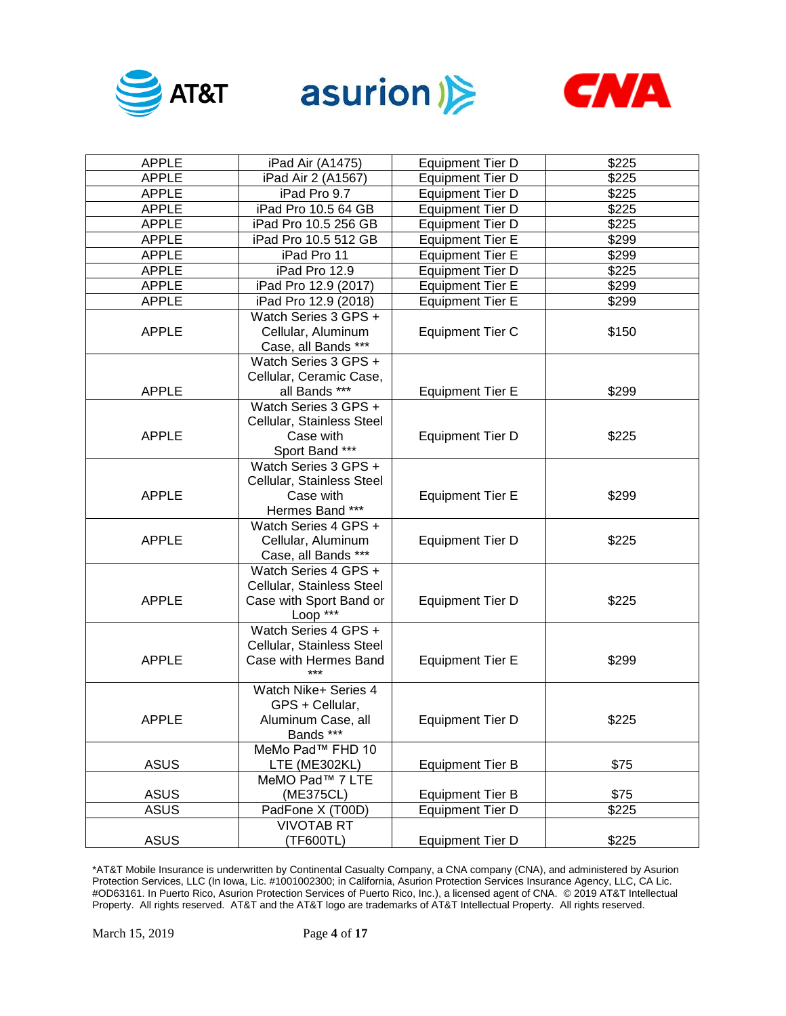





| <b>APPLE</b> | iPad Air (A1475)                                                                         | <b>Equipment Tier D</b> | \$225 |
|--------------|------------------------------------------------------------------------------------------|-------------------------|-------|
| <b>APPLE</b> | iPad Air 2 (A1567)                                                                       | <b>Equipment Tier D</b> | \$225 |
| APPLE        | iPad Pro 9.7                                                                             | <b>Equipment Tier D</b> | \$225 |
| APPLE        | iPad Pro 10.5 64 GB                                                                      | <b>Equipment Tier D</b> | \$225 |
| APPLE        | iPad Pro 10.5 256 GB                                                                     | <b>Equipment Tier D</b> | \$225 |
| APPLE        | iPad Pro 10.5 512 GB                                                                     | <b>Equipment Tier E</b> | \$299 |
| APPLE        | iPad Pro 11                                                                              | <b>Equipment Tier E</b> | \$299 |
| <b>APPLE</b> | iPad Pro 12.9                                                                            | <b>Equipment Tier D</b> | \$225 |
| <b>APPLE</b> | iPad Pro 12.9 (2017)                                                                     | <b>Equipment Tier E</b> | \$299 |
| <b>APPLE</b> | iPad Pro 12.9 (2018)                                                                     | <b>Equipment Tier E</b> | \$299 |
| <b>APPLE</b> | Watch Series 3 GPS +<br>Cellular, Aluminum<br>Case, all Bands ***                        | <b>Equipment Tier C</b> | \$150 |
| <b>APPLE</b> | Watch Series 3 GPS +<br>Cellular, Ceramic Case,<br>all Bands ***                         | <b>Equipment Tier E</b> | \$299 |
| <b>APPLE</b> | Watch Series 3 GPS +<br>Cellular, Stainless Steel<br>Case with<br>Sport Band ***         | <b>Equipment Tier D</b> | \$225 |
| <b>APPLE</b> | Watch Series 3 GPS +<br>Cellular, Stainless Steel<br>Case with<br>Hermes Band ***        | <b>Equipment Tier E</b> | \$299 |
| <b>APPLE</b> | Watch Series 4 GPS +<br>Cellular, Aluminum<br>Case, all Bands ***                        | <b>Equipment Tier D</b> | \$225 |
| <b>APPLE</b> | Watch Series 4 GPS +<br>Cellular, Stainless Steel<br>Case with Sport Band or<br>Loop *** | <b>Equipment Tier D</b> | \$225 |
| <b>APPLE</b> | Watch Series 4 GPS +<br>Cellular, Stainless Steel<br>Case with Hermes Band<br>***        | <b>Equipment Tier E</b> | \$299 |
| <b>APPLE</b> | Watch Nike+ Series 4<br>GPS + Cellular,<br>Aluminum Case, all<br>Bands ***               | <b>Equipment Tier D</b> | \$225 |
| <b>ASUS</b>  | MeMo Pad™ FHD 10<br>LTE (ME302KL)                                                        | <b>Equipment Tier B</b> | \$75  |
|              | MeMO Pad™ 7 LTE                                                                          |                         |       |
| <b>ASUS</b>  | (ME375CL)                                                                                | <b>Equipment Tier B</b> | \$75  |
| <b>ASUS</b>  | PadFone X (T00D)                                                                         | <b>Equipment Tier D</b> | \$225 |
| <b>ASUS</b>  | <b>VIVOTAB RT</b><br>(TF600TL)                                                           | <b>Equipment Tier D</b> | \$225 |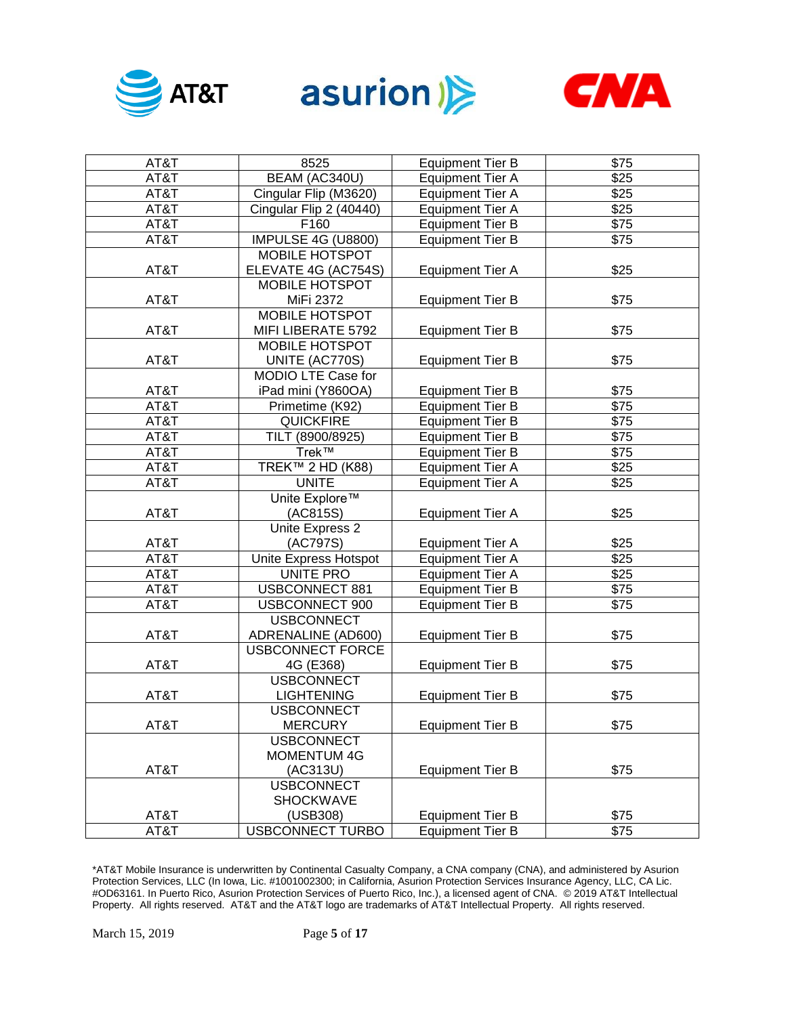





| AT&T | 8525                      | <b>Equipment Tier B</b> | \$75             |
|------|---------------------------|-------------------------|------------------|
| AT&T | BEAM (AC340U)             | <b>Equipment Tier A</b> | \$25             |
| AT&T | Cingular Flip (M3620)     | <b>Equipment Tier A</b> | $\overline{$25}$ |
| AT&T | Cingular Flip 2 (40440)   | <b>Equipment Tier A</b> | $\overline{$25}$ |
| AT&T | F160                      | <b>Equipment Tier B</b> | $\sqrt{$75}$     |
| AT&T | <b>IMPULSE 4G (U8800)</b> | <b>Equipment Tier B</b> | \$75             |
|      | MOBILE HOTSPOT            |                         |                  |
| AT&T | ELEVATE 4G (AC754S)       | <b>Equipment Tier A</b> | \$25             |
|      | <b>MOBILE HOTSPOT</b>     |                         |                  |
| AT&T | MiFi 2372                 | <b>Equipment Tier B</b> | \$75             |
|      | <b>MOBILE HOTSPOT</b>     |                         |                  |
| AT&T | MIFI LIBERATE 5792        | <b>Equipment Tier B</b> | \$75             |
|      | MOBILE HOTSPOT            |                         |                  |
| AT&T | UNITE (AC770S)            | <b>Equipment Tier B</b> | \$75             |
|      | MODIO LTE Case for        |                         |                  |
| AT&T | iPad mini (Y860OA)        | <b>Equipment Tier B</b> | \$75             |
| AT&T | Primetime (K92)           | <b>Equipment Tier B</b> | $\overline{$75}$ |
| AT&T | <b>QUICKFIRE</b>          | <b>Equipment Tier B</b> | $\sqrt{$75}$     |
| AT&T | TILT (8900/8925)          | <b>Equipment Tier B</b> | $\sqrt{$75}$     |
| AT&T | Trek™                     | <b>Equipment Tier B</b> | $\sqrt{$75}$     |
| AT&T | TREK™ 2 HD (K88)          | <b>Equipment Tier A</b> | $\overline{$25}$ |
| AT&T | <b>UNITE</b>              | <b>Equipment Tier A</b> | \$25             |
|      | Unite Explore™            |                         |                  |
| AT&T | (AC815S)                  | <b>Equipment Tier A</b> | \$25             |
|      | Unite Express 2           |                         |                  |
| AT&T | (AC797S)                  | <b>Equipment Tier A</b> | \$25             |
| AT&T | Unite Express Hotspot     | <b>Equipment Tier A</b> | \$25             |
| AT&T | UNITE PRO                 | <b>Equipment Tier A</b> | \$25             |
| AT&T | <b>USBCONNECT 881</b>     | <b>Equipment Tier B</b> | \$75             |
| AT&T | USBCONNECT 900            | <b>Equipment Tier B</b> | \$75             |
|      | <b>USBCONNECT</b>         |                         |                  |
| AT&T | ADRENALINE (AD600)        | <b>Equipment Tier B</b> | \$75             |
|      | <b>USBCONNECT FORCE</b>   |                         |                  |
| AT&T | 4G (E368)                 | <b>Equipment Tier B</b> | \$75             |
|      | <b>USBCONNECT</b>         |                         |                  |
| AT&T | <b>LIGHTENING</b>         | <b>Equipment Tier B</b> | \$75             |
|      | <b>USBCONNECT</b>         |                         |                  |
| AT&T | <b>MERCURY</b>            | <b>Equipment Tier B</b> | \$75             |
|      | <b>USBCONNECT</b>         |                         |                  |
|      | <b>MOMENTUM 4G</b>        |                         |                  |
| AT&T | (AC313U)                  | <b>Equipment Tier B</b> | \$75             |
|      | <b>USBCONNECT</b>         |                         |                  |
|      | <b>SHOCKWAVE</b>          |                         |                  |
| AT&T | (USB308)                  | <b>Equipment Tier B</b> | \$75             |
| AT&T | <b>USBCONNECT TURBO</b>   | <b>Equipment Tier B</b> | $\overline{$75}$ |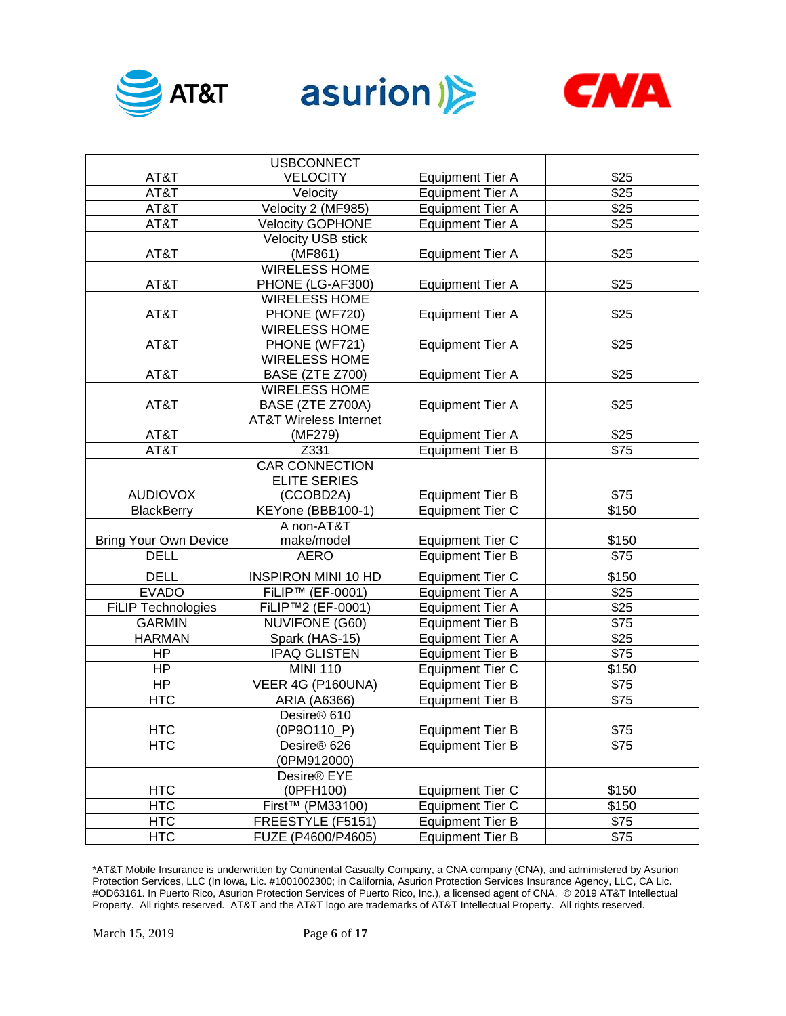





|                              | <b>USBCONNECT</b>                 |                         |                  |
|------------------------------|-----------------------------------|-------------------------|------------------|
| AT&T                         | <b>VELOCITY</b>                   | <b>Equipment Tier A</b> | \$25             |
| AT&T                         | Velocity                          | <b>Equipment Tier A</b> | \$25             |
| AT&T                         | Velocity 2 (MF985)                | <b>Equipment Tier A</b> | \$25             |
| AT&T                         | <b>Velocity GOPHONE</b>           | <b>Equipment Tier A</b> | \$25             |
|                              | Velocity USB stick                |                         |                  |
| AT&T                         | (MF861)                           | <b>Equipment Tier A</b> | \$25             |
|                              | <b>WIRELESS HOME</b>              |                         |                  |
| AT&T                         | PHONE (LG-AF300)                  | <b>Equipment Tier A</b> | \$25             |
|                              | <b>WIRELESS HOME</b>              |                         |                  |
| AT&T                         | PHONE (WF720)                     | <b>Equipment Tier A</b> | \$25             |
|                              | <b>WIRELESS HOME</b>              |                         |                  |
| AT&T                         | PHONE (WF721)                     | <b>Equipment Tier A</b> | \$25             |
|                              | <b>WIRELESS HOME</b>              |                         |                  |
| AT&T                         | BASE (ZTE Z700)                   | <b>Equipment Tier A</b> | \$25             |
|                              | <b>WIRELESS HOME</b>              |                         |                  |
| AT&T                         | BASE (ZTE Z700A)                  | <b>Equipment Tier A</b> | \$25             |
|                              | <b>AT&amp;T Wireless Internet</b> |                         |                  |
| AT&T                         | (MF279)                           | <b>Equipment Tier A</b> | \$25             |
| AT&T                         | Z331                              | <b>Equipment Tier B</b> | $\overline{$75}$ |
|                              | <b>CAR CONNECTION</b>             |                         |                  |
|                              | <b>ELITE SERIES</b>               |                         |                  |
| <b>AUDIOVOX</b>              | (CCOBD2A)                         | <b>Equipment Tier B</b> | \$75             |
| <b>BlackBerry</b>            | KEYone (BBB100-1)                 | <b>Equipment Tier C</b> | \$150            |
|                              | A non-AT&T                        |                         |                  |
| <b>Bring Your Own Device</b> | make/model                        | <b>Equipment Tier C</b> | \$150            |
| <b>DELL</b>                  | <b>AERO</b>                       | <b>Equipment Tier B</b> | $\overline{$75}$ |
| <b>DELL</b>                  | <b>INSPIRON MINI 10 HD</b>        | <b>Equipment Tier C</b> | \$150            |
| <b>EVADO</b>                 | FiLIP™ (EF-0001)                  | <b>Equipment Tier A</b> | \$25             |
| FILIP Technologies           | FiLIP™2 (EF-0001)                 | <b>Equipment Tier A</b> | \$25             |
| <b>GARMIN</b>                | <b>NUVIFONE (G60)</b>             | <b>Equipment Tier B</b> | \$75             |
| <b>HARMAN</b>                | Spark (HAS-15)                    | <b>Equipment Tier A</b> | \$25             |
| <b>HP</b>                    | <b>IPAQ GLISTEN</b>               | <b>Equipment Tier B</b> | \$75             |
| <b>HP</b>                    | <b>MINI 110</b>                   | <b>Equipment Tier C</b> | \$150            |
| <b>HP</b>                    | VEER 4G (P160UNA)                 | <b>Equipment Tier B</b> | \$75             |
| <b>HTC</b>                   | ARIA (A6366)                      | <b>Equipment Tier B</b> | \$75             |
|                              | Desire® 610                       |                         |                  |
| <b>HTC</b>                   | $(OP9O110_P)$                     | <b>Equipment Tier B</b> | \$75             |
| <b>HTC</b>                   | Desire <sup>®</sup> 626           | <b>Equipment Tier B</b> | \$75             |
|                              | (0PM912000)                       |                         |                  |
|                              | Desire® EYE                       |                         |                  |
| <b>HTC</b>                   | (0PFH100)                         | <b>Equipment Tier C</b> | \$150            |
| <b>HTC</b>                   | First <sup>™</sup> (PM33100)      | <b>Equipment Tier C</b> | \$150            |
| <b>HTC</b>                   | FREESTYLE (F5151)                 | <b>Equipment Tier B</b> | \$75             |
| <b>HTC</b>                   | FUZE (P4600/P4605)                | <b>Equipment Tier B</b> | \$75             |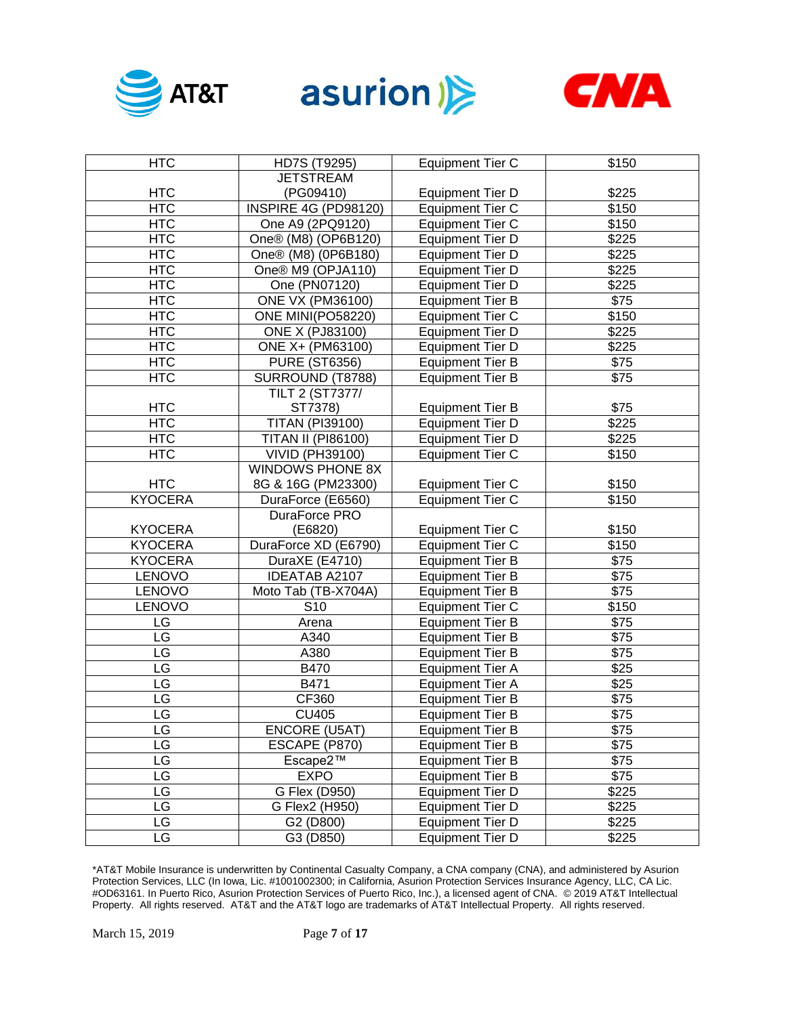





| <b>HTC</b>     | HD7S (T9295)              | <b>Equipment Tier C</b> | \$150            |
|----------------|---------------------------|-------------------------|------------------|
|                | <b>JETSTREAM</b>          |                         |                  |
| <b>HTC</b>     | (PG09410)                 | <b>Equipment Tier D</b> | \$225            |
| <b>HTC</b>     | INSPIRE 4G (PD98120)      | <b>Equipment Tier C</b> | \$150            |
| <b>HTC</b>     | One A9 (2PQ9120)          | <b>Equipment Tier C</b> | \$150            |
| <b>HTC</b>     | One® (M8) (OP6B120)       | <b>Equipment Tier D</b> | \$225            |
| <b>HTC</b>     | One® (M8) (0P6B180)       | <b>Equipment Tier D</b> | \$225            |
| <b>HTC</b>     | One® M9 (OPJA110)         | <b>Equipment Tier D</b> | \$225            |
| <b>HTC</b>     | One (PN07120)             | <b>Equipment Tier D</b> | \$225            |
| <b>HTC</b>     | <b>ONE VX (PM36100)</b>   | <b>Equipment Tier B</b> | $\overline{$75}$ |
| HTC            | ONE MINI(PO58220)         | <b>Equipment Tier C</b> | \$150            |
| <b>HTC</b>     | <b>ONE X (PJ83100)</b>    | <b>Equipment Tier D</b> | \$225            |
| <b>HTC</b>     | ONE X+ (PM63100)          | <b>Equipment Tier D</b> | \$225            |
| <b>HTC</b>     | <b>PURE (ST6356)</b>      | <b>Equipment Tier B</b> | \$75             |
| <b>HTC</b>     | SURROUND (T8788)          | <b>Equipment Tier B</b> | \$75             |
|                | TILT 2 (ST7377/           |                         |                  |
| <b>HTC</b>     | ST7378)                   | <b>Equipment Tier B</b> | \$75             |
| <b>HTC</b>     | <b>TITAN (PI39100)</b>    | <b>Equipment Tier D</b> | \$225            |
| <b>HTC</b>     | <b>TITAN II (PI86100)</b> | <b>Equipment Tier D</b> | \$225            |
| <b>HTC</b>     | <b>VIVID (PH39100)</b>    | <b>Equipment Tier C</b> | \$150            |
|                | WINDOWS PHONE 8X          |                         |                  |
| <b>HTC</b>     | 8G & 16G (PM23300)        | <b>Equipment Tier C</b> | \$150            |
| <b>KYOCERA</b> | DuraForce (E6560)         | <b>Equipment Tier C</b> | \$150            |
|                | DuraForce PRO             |                         |                  |
| <b>KYOCERA</b> | (E6820)                   | <b>Equipment Tier C</b> | \$150            |
| <b>KYOCERA</b> | DuraForce XD (E6790)      | <b>Equipment Tier C</b> | \$150            |
| <b>KYOCERA</b> | DuraXE (E4710)            | <b>Equipment Tier B</b> | \$75             |
| LENOVO         | <b>IDEATAB A2107</b>      | <b>Equipment Tier B</b> | \$75             |
| LENOVO         | Moto Tab (TB-X704A)       | <b>Equipment Tier B</b> | $\overline{$75}$ |
| LENOVO         | S <sub>10</sub>           | <b>Equipment Tier C</b> | \$150            |
| LG             | Arena                     | <b>Equipment Tier B</b> | \$75             |
| LG             | A340                      | <b>Equipment Tier B</b> | \$75             |
| LG             | A380                      | <b>Equipment Tier B</b> | \$75             |
| LG             | <b>B470</b>               | <b>Equipment Tier A</b> | $\overline{$25}$ |
| LG             | B471                      | <b>Equipment Tier A</b> | \$25             |
| LG             | CF360                     | <b>Equipment Tier B</b> | \$75             |
| LG             | <b>CU405</b>              | <b>Equipment Tier B</b> | \$75             |
| LG             | <b>ENCORE (U5AT)</b>      | <b>Equipment Tier B</b> | \$75             |
| LG             | ESCAPE (P870)             | <b>Equipment Tier B</b> | \$75             |
| LG             | Escape2™                  | <b>Equipment Tier B</b> | \$75             |
| LG             | <b>EXPO</b>               | <b>Equipment Tier B</b> | \$75             |
| LG             | G Flex (D950)             | <b>Equipment Tier D</b> | \$225            |
| LG             | G Flex2 (H950)            | <b>Equipment Tier D</b> | \$225            |
| LG             | G2 (D800)                 | <b>Equipment Tier D</b> | \$225            |
| LG             | G3 (D850)                 | <b>Equipment Tier D</b> | \$225            |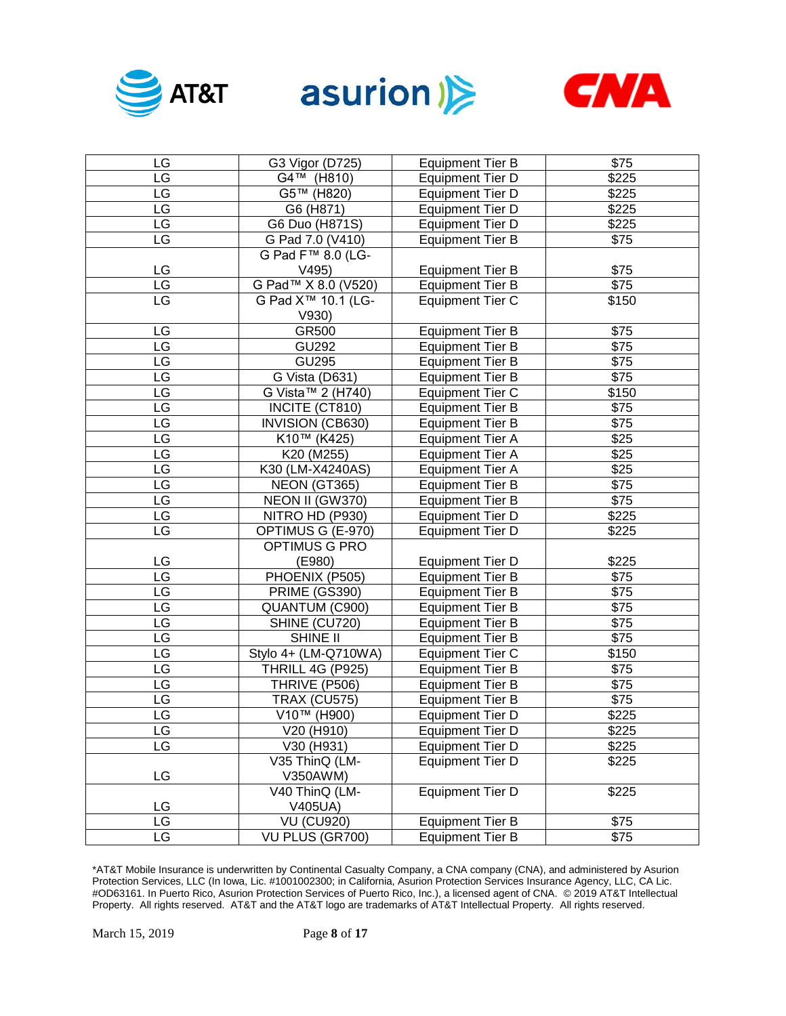





| LG | G3 Vigor (D725)                | <b>Equipment Tier B</b> | \$75         |
|----|--------------------------------|-------------------------|--------------|
| LG | $\overline{G}$ 4™ (H810)       | <b>Equipment Tier D</b> | \$225        |
| LG | G5™ (H820)                     | <b>Equipment Tier D</b> | \$225        |
| LG | G6 (H871)                      | <b>Equipment Tier D</b> | \$225        |
| LG | G6 Duo (H871S)                 | <b>Equipment Tier D</b> | \$225        |
| LG | G Pad 7.0 (V410)               | <b>Equipment Tier B</b> | \$75         |
|    | G Pad F <sup>™</sup> 8.0 (LG-  |                         |              |
| LG | V495)                          | <b>Equipment Tier B</b> | \$75         |
| LG | G Pad™ X 8.0 (V520)            | <b>Equipment Tier B</b> | $\sqrt{$75}$ |
| LG | G Pad X <sup>™</sup> 10.1 (LG- | <b>Equipment Tier C</b> | \$150        |
|    | V930)                          |                         |              |
| LG | GR500                          | <b>Equipment Tier B</b> | \$75         |
| LG | GU292                          | <b>Equipment Tier B</b> | \$75         |
| LG | $\overline{GU}295$             | Equipment Tier B        | \$75         |
| LG | G Vista (D631)                 | Equipment Tier B        | \$75         |
| LG | G Vista™ 2 (H740)              | <b>Equipment Tier C</b> | \$150        |
| LG | INCITE (CT810)                 | <b>Equipment Tier B</b> | \$75         |
| LG | <b>INVISION (CB630)</b>        | <b>Equipment Tier B</b> | \$75         |
| LG | K10™ (K425)                    | Equipment Tier A        | \$25         |
| LG | K20 (M255)                     | <b>Equipment Tier A</b> | $\sqrt{$25}$ |
| LG | K30 (LM-X4240AS)               | <b>Equipment Tier A</b> | $\sqrt{$25}$ |
| LG | NEON (GT365)                   | <b>Equipment Tier B</b> | \$75         |
| LG | NEON II (GW370)                | <b>Equipment Tier B</b> | \$75         |
| LG | NITRO HD (P930)                | <b>Equipment Tier D</b> | \$225        |
| LG | OPTIMUS G (E-970)              | <b>Equipment Tier D</b> | \$225        |
|    | OPTIMUS G PRO                  |                         |              |
| LG | (E980)                         | <b>Equipment Tier D</b> | \$225        |
| LG | PHOENIX (P505)                 | <b>Equipment Tier B</b> | \$75         |
| LG | <b>PRIME (GS390)</b>           | <b>Equipment Tier B</b> | \$75         |
| LG | QUANTUM (C900)                 | <b>Equipment Tier B</b> | \$75         |
| LG | SHINE (CU720)                  | <b>Equipment Tier B</b> | \$75         |
| LG | SHINE II                       | <b>Equipment Tier B</b> | \$75         |
| LG | Stylo 4+ (LM-Q710WA)           | <b>Equipment Tier C</b> | \$150        |
| LG | <b>THRILL 4G (P925)</b>        | <b>Equipment Tier B</b> | \$75         |
| LG | THRIVE (P506)                  | <b>Equipment Tier B</b> | \$75         |
| LG | <b>TRAX (CU575)</b>            | <b>Equipment Tier B</b> | \$75         |
| LG | V10™ (H900)                    | <b>Equipment Tier D</b> | \$225        |
| LG | V20 (H910)                     | <b>Equipment Tier D</b> | \$225        |
| LG | V30 (H931)                     | <b>Equipment Tier D</b> | \$225        |
|    | V35 ThinQ (LM-                 | <b>Equipment Tier D</b> | \$225        |
| LG | V350AWM)                       |                         |              |
|    | V40 ThinQ (LM-                 | <b>Equipment Tier D</b> | \$225        |
| LG | V405UA)                        |                         |              |
| LG | <b>VU (CU920)</b>              | <b>Equipment Tier B</b> | \$75         |
| LG | VU PLUS (GR700)                | <b>Equipment Tier B</b> | \$75         |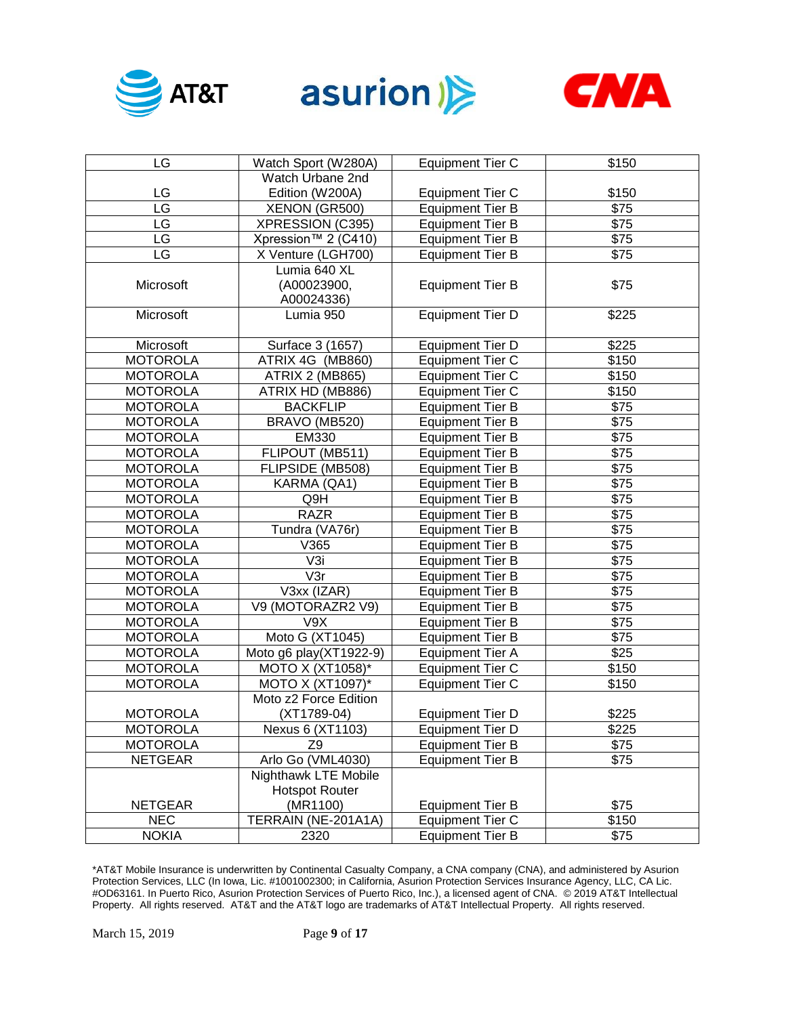





| LG              | Watch Sport (W280A)                           | <b>Equipment Tier C</b> | \$150 |
|-----------------|-----------------------------------------------|-------------------------|-------|
|                 | Watch Urbane 2nd                              |                         |       |
| LG              | Edition (W200A)                               | <b>Equipment Tier C</b> | \$150 |
| LG              | XENON (GR500)                                 | <b>Equipment Tier B</b> | \$75  |
| LG              | XPRESSION (C395)                              | <b>Equipment Tier B</b> | \$75  |
| LG              | Xpression™ 2 (C410)                           | <b>Equipment Tier B</b> | \$75  |
| LG              | X Venture (LGH700)                            | <b>Equipment Tier B</b> | \$75  |
| Microsoft       | Lumia 640 XL<br>(A00023900,<br>A00024336)     | <b>Equipment Tier B</b> | \$75  |
| Microsoft       | Lumia 950                                     | <b>Equipment Tier D</b> | \$225 |
| Microsoft       | Surface 3 (1657)                              | <b>Equipment Tier D</b> | \$225 |
| <b>MOTOROLA</b> | ATRIX 4G (MB860)                              | <b>Equipment Tier C</b> | \$150 |
| <b>MOTOROLA</b> | <b>ATRIX 2 (MB865)</b>                        | <b>Equipment Tier C</b> | \$150 |
| <b>MOTOROLA</b> | ATRIX HD (MB886)                              | <b>Equipment Tier C</b> | \$150 |
| <b>MOTOROLA</b> | <b>BACKFLIP</b>                               | <b>Equipment Tier B</b> | \$75  |
| <b>MOTOROLA</b> | BRAVO (MB520)                                 | <b>Equipment Tier B</b> | \$75  |
| <b>MOTOROLA</b> | EM330                                         | <b>Equipment Tier B</b> | \$75  |
| <b>MOTOROLA</b> | FLIPOUT (MB511)                               | <b>Equipment Tier B</b> | \$75  |
| <b>MOTOROLA</b> | FLIPSIDE (MB508)                              | <b>Equipment Tier B</b> | \$75  |
| <b>MOTOROLA</b> | KARMA (QA1)                                   | <b>Equipment Tier B</b> | \$75  |
| <b>MOTOROLA</b> | Q9H                                           | <b>Equipment Tier B</b> | \$75  |
| <b>MOTOROLA</b> | <b>RAZR</b>                                   | <b>Equipment Tier B</b> | \$75  |
| <b>MOTOROLA</b> | Tundra (VA76r)                                | <b>Equipment Tier B</b> | \$75  |
| <b>MOTOROLA</b> | V365                                          | <b>Equipment Tier B</b> | \$75  |
| <b>MOTOROLA</b> | V3i                                           | <b>Equipment Tier B</b> | \$75  |
| <b>MOTOROLA</b> | V3r                                           | <b>Equipment Tier B</b> | \$75  |
| <b>MOTOROLA</b> | V3xx (IZAR)                                   | <b>Equipment Tier B</b> | \$75  |
| <b>MOTOROLA</b> | V9 (MOTORAZR2 V9)                             | <b>Equipment Tier B</b> | \$75  |
| <b>MOTOROLA</b> | V9X                                           | <b>Equipment Tier B</b> | \$75  |
| <b>MOTOROLA</b> | Moto G (XT1045)                               | <b>Equipment Tier B</b> | \$75  |
| <b>MOTOROLA</b> | Moto g6 play(XT1922-9)                        | <b>Equipment Tier A</b> | \$25  |
| <b>MOTOROLA</b> | MOTO X (XT1058)*                              | <b>Equipment Tier C</b> | \$150 |
| <b>MOTOROLA</b> | MOTO X (XT1097)*                              | <b>Equipment Tier C</b> | \$150 |
| <b>MOTOROLA</b> | Moto z2 Force Edition<br>$(XT1789-04)$        | <b>Equipment Tier D</b> | \$225 |
| <b>MOTOROLA</b> | Nexus 6 (XT1103)                              | <b>Equipment Tier D</b> | \$225 |
| <b>MOTOROLA</b> | Z <sub>9</sub>                                | <b>Equipment Tier B</b> | \$75  |
| <b>NETGEAR</b>  | Arlo Go (VML4030)                             | <b>Equipment Tier B</b> | \$75  |
|                 | Nighthawk LTE Mobile<br><b>Hotspot Router</b> |                         |       |
| <b>NETGEAR</b>  | (MR1100)                                      | <b>Equipment Tier B</b> | \$75  |
| <b>NEC</b>      | TERRAIN (NE-201A1A)                           | <b>Equipment Tier C</b> | \$150 |
| <b>NOKIA</b>    | 2320                                          | <b>Equipment Tier B</b> | \$75  |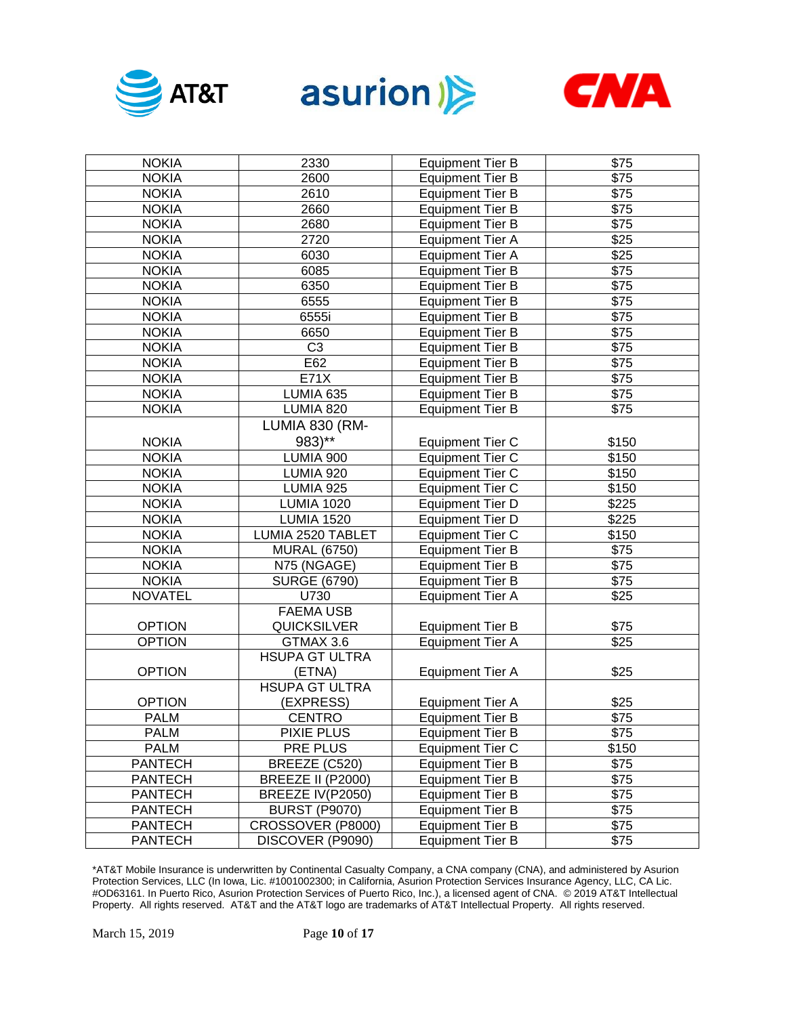





| <b>NOKIA</b>   | 2330                  | <b>Equipment Tier B</b> | \$75             |
|----------------|-----------------------|-------------------------|------------------|
| <b>NOKIA</b>   | 2600                  | <b>Equipment Tier B</b> | $\sqrt{$75}$     |
| <b>NOKIA</b>   | 2610                  | <b>Equipment Tier B</b> | $\overline{$75}$ |
| <b>NOKIA</b>   | 2660                  | <b>Equipment Tier B</b> | $\sqrt{$75}$     |
| <b>NOKIA</b>   | 2680                  | <b>Equipment Tier B</b> | $\sqrt{$75}$     |
| <b>NOKIA</b>   | 2720                  | <b>Equipment Tier A</b> | $\overline{$25}$ |
| <b>NOKIA</b>   | 6030                  | <b>Equipment Tier A</b> | \$25             |
| <b>NOKIA</b>   | 6085                  | <b>Equipment Tier B</b> | $\sqrt{$75}$     |
| <b>NOKIA</b>   | 6350                  | <b>Equipment Tier B</b> | $\overline{$75}$ |
| <b>NOKIA</b>   | 6555                  | <b>Equipment Tier B</b> | $\overline{$75}$ |
| <b>NOKIA</b>   | 6555i                 | <b>Equipment Tier B</b> | $\sqrt{$75}$     |
| <b>NOKIA</b>   | 6650                  | <b>Equipment Tier B</b> | $\sqrt{$75}$     |
| <b>NOKIA</b>   | C <sub>3</sub>        | <b>Equipment Tier B</b> | $\sqrt{$75}$     |
| <b>NOKIA</b>   | E62                   | <b>Equipment Tier B</b> | $\sqrt{$75}$     |
| <b>NOKIA</b>   | E71X                  | <b>Equipment Tier B</b> | $\overline{$75}$ |
| <b>NOKIA</b>   | LUMIA 635             | <b>Equipment Tier B</b> | $\overline{$75}$ |
| <b>NOKIA</b>   | LUMIA 820             | <b>Equipment Tier B</b> | \$75             |
|                | LUMIA 830 (RM-        |                         |                  |
| <b>NOKIA</b>   | 983)**                | <b>Equipment Tier C</b> | \$150            |
| <b>NOKIA</b>   | LUMIA 900             | <b>Equipment Tier C</b> | \$150            |
| <b>NOKIA</b>   | <b>LUMIA 920</b>      | <b>Equipment Tier C</b> | \$150            |
| <b>NOKIA</b>   | <b>LUMIA 925</b>      | <b>Equipment Tier C</b> | \$150            |
| <b>NOKIA</b>   | <b>LUMIA 1020</b>     | <b>Equipment Tier D</b> | \$225            |
| <b>NOKIA</b>   | <b>LUMIA 1520</b>     | <b>Equipment Tier D</b> | \$225            |
| <b>NOKIA</b>   | LUMIA 2520 TABLET     | <b>Equipment Tier C</b> | \$150            |
| <b>NOKIA</b>   | <b>MURAL (6750)</b>   | <b>Equipment Tier B</b> | \$75             |
| <b>NOKIA</b>   | N75 (NGAGE)           | <b>Equipment Tier B</b> | \$75             |
| <b>NOKIA</b>   | <b>SURGE (6790)</b>   | <b>Equipment Tier B</b> | \$75             |
| <b>NOVATEL</b> | U730                  | <b>Equipment Tier A</b> | \$25             |
|                | <b>FAEMA USB</b>      |                         |                  |
| <b>OPTION</b>  | <b>QUICKSILVER</b>    | <b>Equipment Tier B</b> | \$75             |
| <b>OPTION</b>  | GTMAX 3.6             | <b>Equipment Tier A</b> | \$25             |
|                | <b>HSUPA GT ULTRA</b> |                         |                  |
| <b>OPTION</b>  | (ETNA)                | <b>Equipment Tier A</b> | \$25             |
|                | <b>HSUPA GT ULTRA</b> |                         |                  |
| <b>OPTION</b>  | (EXPRESS)             | <b>Equipment Tier A</b> | \$25             |
| <b>PALM</b>    | <b>CENTRO</b>         | <b>Equipment Tier B</b> | \$75             |
| <b>PALM</b>    | PIXIE PLUS            | <b>Equipment Tier B</b> | $\sqrt{$75}$     |
| <b>PALM</b>    | PRE PLUS              | <b>Equipment Tier C</b> | \$150            |
| <b>PANTECH</b> | BREEZE (C520)         | <b>Equipment Tier B</b> | \$75             |
| <b>PANTECH</b> | BREEZE II (P2000)     | <b>Equipment Tier B</b> | \$75             |
| <b>PANTECH</b> | BREEZE IV(P2050)      | <b>Equipment Tier B</b> | \$75             |
| <b>PANTECH</b> | <b>BURST (P9070)</b>  | <b>Equipment Tier B</b> | \$75             |
| <b>PANTECH</b> | CROSSOVER (P8000)     | <b>Equipment Tier B</b> | \$75             |
| <b>PANTECH</b> | DISCOVER (P9090)      | <b>Equipment Tier B</b> | \$75             |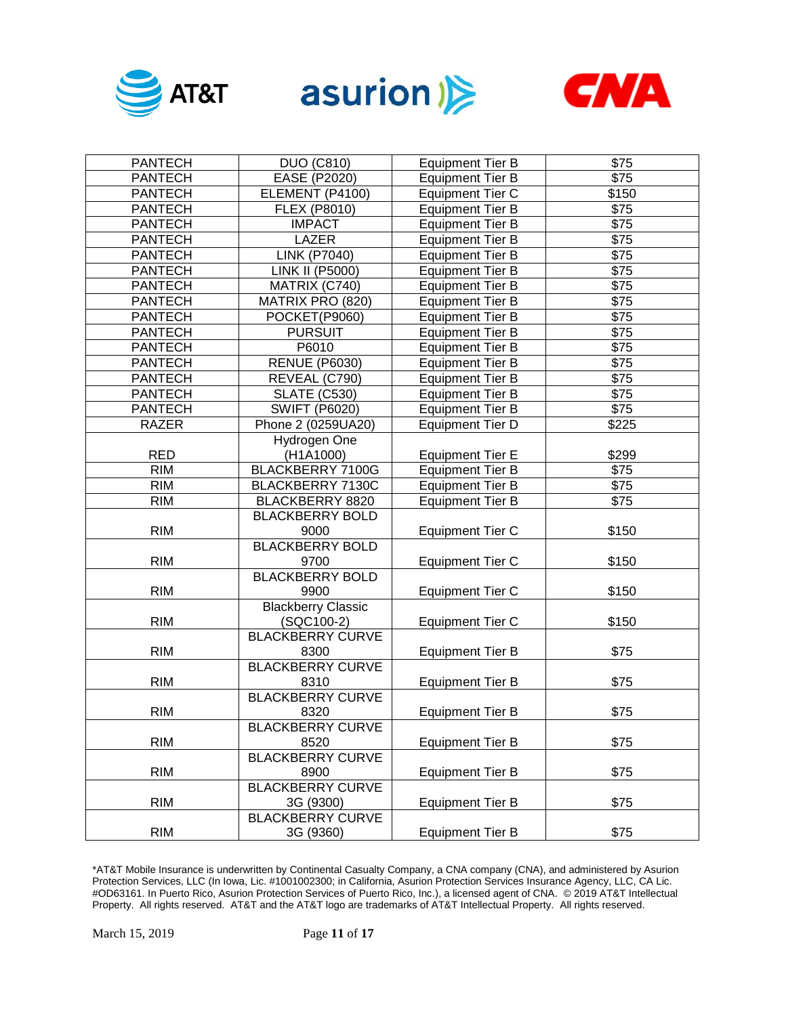





| <b>PANTECH</b> | <b>DUO (C810)</b>               | <b>Equipment Tier B</b> | \$75             |
|----------------|---------------------------------|-------------------------|------------------|
| <b>PANTECH</b> | EASE (P2020)                    | <b>Equipment Tier B</b> | $\overline{$75}$ |
| <b>PANTECH</b> | ELEMENT (P4100)                 | <b>Equipment Tier C</b> | \$150            |
| <b>PANTECH</b> | <b>FLEX (P8010)</b>             | <b>Equipment Tier B</b> | \$75             |
| <b>PANTECH</b> | <b>IMPACT</b>                   | <b>Equipment Tier B</b> | $\sqrt{$75}$     |
| <b>PANTECH</b> | LAZER                           | <b>Equipment Tier B</b> | $\sqrt{$75}$     |
| <b>PANTECH</b> | <b>LINK (P7040)</b>             | <b>Equipment Tier B</b> | $\sqrt{$75}$     |
| <b>PANTECH</b> | <b>LINK II (P5000)</b>          | <b>Equipment Tier B</b> | $\sqrt{$75}$     |
| <b>PANTECH</b> | MATRIX (C740)                   | <b>Equipment Tier B</b> | $\overline{$75}$ |
| <b>PANTECH</b> | MATRIX PRO (820)                | <b>Equipment Tier B</b> | $\sqrt{$75}$     |
| <b>PANTECH</b> | POCKET(P9060)                   | <b>Equipment Tier B</b> | $\sqrt{$75}$     |
| <b>PANTECH</b> | <b>PURSUIT</b>                  | <b>Equipment Tier B</b> | $\sqrt{$75}$     |
| <b>PANTECH</b> | P6010                           | <b>Equipment Tier B</b> | $\sqrt{$75}$     |
| <b>PANTECH</b> | <b>RENUE (P6030)</b>            | <b>Equipment Tier B</b> | $\overline{$75}$ |
| <b>PANTECH</b> | REVEAL (C790)                   | <b>Equipment Tier B</b> | $\overline{$75}$ |
| <b>PANTECH</b> | <b>SLATE (C530)</b>             | <b>Equipment Tier B</b> | $\overline{$75}$ |
| <b>PANTECH</b> | <b>SWIFT (P6020)</b>            | <b>Equipment Tier B</b> | $\overline{$75}$ |
| <b>RAZER</b>   | Phone 2 (0259UA20)              | <b>Equipment Tier D</b> | \$225            |
|                | Hydrogen One                    |                         |                  |
| <b>RED</b>     | (H1A1000)                       | <b>Equipment Tier E</b> | \$299            |
| <b>RIM</b>     | <b>BLACKBERRY 7100G</b>         | <b>Equipment Tier B</b> | $\overline{$75}$ |
| <b>RIM</b>     | BLACKBERRY 7130C                | <b>Equipment Tier B</b> | $\overline{$75}$ |
| <b>RIM</b>     | BLACKBERRY 8820                 | <b>Equipment Tier B</b> | \$75             |
|                | <b>BLACKBERRY BOLD</b>          |                         |                  |
| <b>RIM</b>     | 9000                            | <b>Equipment Tier C</b> | \$150            |
|                | <b>BLACKBERRY BOLD</b>          |                         |                  |
| <b>RIM</b>     | 9700                            | <b>Equipment Tier C</b> | \$150            |
|                | <b>BLACKBERRY BOLD</b>          |                         |                  |
| <b>RIM</b>     | 9900                            | <b>Equipment Tier C</b> | \$150            |
|                | <b>Blackberry Classic</b>       |                         |                  |
| <b>RIM</b>     | (SQC100-2)                      | <b>Equipment Tier C</b> | \$150            |
|                | <b>BLACKBERRY CURVE</b>         |                         |                  |
| <b>RIM</b>     | 8300<br><b>BLACKBERRY CURVE</b> | <b>Equipment Tier B</b> | \$75             |
| <b>RIM</b>     |                                 |                         | \$75             |
|                | 8310<br><b>BLACKBERRY CURVE</b> | <b>Equipment Tier B</b> |                  |
| <b>RIM</b>     | 8320                            | <b>Equipment Tier B</b> | \$75             |
|                | <b>BLACKBERRY CURVE</b>         |                         |                  |
| <b>RIM</b>     | 8520                            | <b>Equipment Tier B</b> | \$75             |
|                | <b>BLACKBERRY CURVE</b>         |                         |                  |
| <b>RIM</b>     | 8900                            | <b>Equipment Tier B</b> | \$75             |
|                | <b>BLACKBERRY CURVE</b>         |                         |                  |
| <b>RIM</b>     | 3G (9300)                       | <b>Equipment Tier B</b> | \$75             |
|                | <b>BLACKBERRY CURVE</b>         |                         |                  |
| <b>RIM</b>     | 3G (9360)                       | <b>Equipment Tier B</b> | \$75             |
|                |                                 |                         |                  |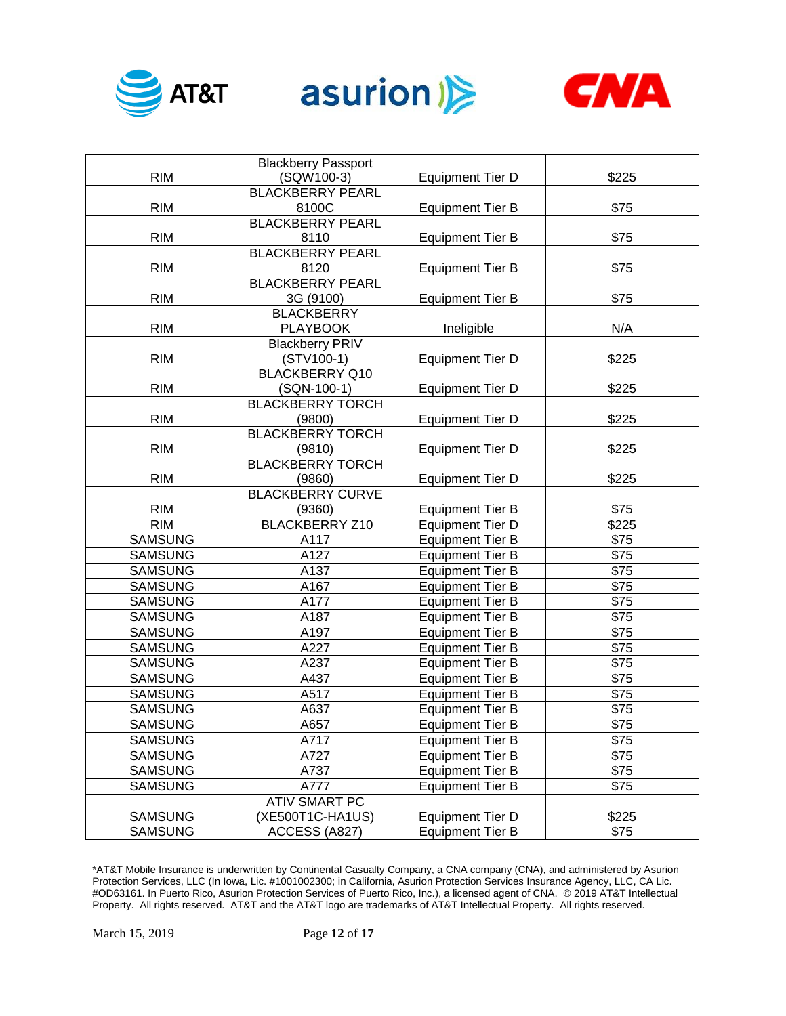





|                | <b>Blackberry Passport</b> |                         |              |
|----------------|----------------------------|-------------------------|--------------|
| <b>RIM</b>     | (SQW100-3)                 | <b>Equipment Tier D</b> | \$225        |
|                | <b>BLACKBERRY PEARL</b>    |                         |              |
| <b>RIM</b>     | 8100C                      | <b>Equipment Tier B</b> | \$75         |
|                | <b>BLACKBERRY PEARL</b>    |                         |              |
| <b>RIM</b>     | 8110                       | <b>Equipment Tier B</b> | \$75         |
|                | <b>BLACKBERRY PEARL</b>    |                         |              |
| <b>RIM</b>     | 8120                       | <b>Equipment Tier B</b> | \$75         |
|                | <b>BLACKBERRY PEARL</b>    |                         |              |
| <b>RIM</b>     | 3G (9100)                  | <b>Equipment Tier B</b> | \$75         |
|                | <b>BLACKBERRY</b>          |                         |              |
| <b>RIM</b>     | <b>PLAYBOOK</b>            | Ineligible              | N/A          |
|                | <b>Blackberry PRIV</b>     |                         |              |
| <b>RIM</b>     | $(STV100-1)$               | <b>Equipment Tier D</b> | \$225        |
|                | <b>BLACKBERRY Q10</b>      |                         |              |
| <b>RIM</b>     | (SQN-100-1)                | <b>Equipment Tier D</b> | \$225        |
|                | <b>BLACKBERRY TORCH</b>    |                         |              |
| <b>RIM</b>     | (9800)                     | <b>Equipment Tier D</b> | \$225        |
|                | <b>BLACKBERRY TORCH</b>    |                         |              |
| <b>RIM</b>     | (9810)                     | <b>Equipment Tier D</b> | \$225        |
|                | <b>BLACKBERRY TORCH</b>    |                         |              |
| <b>RIM</b>     | (9860)                     | <b>Equipment Tier D</b> | \$225        |
|                | <b>BLACKBERRY CURVE</b>    |                         |              |
| <b>RIM</b>     | (9360)                     | <b>Equipment Tier B</b> | \$75         |
| <b>RIM</b>     | <b>BLACKBERRY Z10</b>      | <b>Equipment Tier D</b> | \$225        |
| <b>SAMSUNG</b> | A117                       | <b>Equipment Tier B</b> | \$75         |
| <b>SAMSUNG</b> | A127                       | <b>Equipment Tier B</b> | \$75         |
| <b>SAMSUNG</b> | A137                       | <b>Equipment Tier B</b> | \$75         |
| <b>SAMSUNG</b> | A167                       | <b>Equipment Tier B</b> | \$75         |
| <b>SAMSUNG</b> | A177                       | <b>Equipment Tier B</b> | \$75         |
| <b>SAMSUNG</b> | A187                       | <b>Equipment Tier B</b> | \$75         |
| <b>SAMSUNG</b> | A197                       | <b>Equipment Tier B</b> | \$75         |
| <b>SAMSUNG</b> | A227                       | <b>Equipment Tier B</b> | \$75         |
| <b>SAMSUNG</b> | A237                       | Equipment Tier B        | \$75         |
| <b>SAMSUNG</b> | A437                       | <b>Equipment Tier B</b> | \$75         |
| <b>SAMSUNG</b> | A517                       | <b>Equipment Tier B</b> | \$75         |
| <b>SAMSUNG</b> | A637                       | <b>Equipment Tier B</b> | \$75         |
| <b>SAMSUNG</b> | A657                       | <b>Equipment Tier B</b> | \$75         |
| <b>SAMSUNG</b> | A717                       | <b>Equipment Tier B</b> | \$75         |
| <b>SAMSUNG</b> | A727                       | <b>Equipment Tier B</b> | \$75         |
| <b>SAMSUNG</b> | A737                       | <b>Equipment Tier B</b> | \$75         |
| <b>SAMSUNG</b> | A777                       | <b>Equipment Tier B</b> | $\sqrt{$75}$ |
|                | <b>ATIV SMART PC</b>       |                         |              |
| <b>SAMSUNG</b> | (XE500T1C-HA1US)           | <b>Equipment Tier D</b> | \$225        |
| <b>SAMSUNG</b> | ACCESS (A827)              | <b>Equipment Tier B</b> | \$75         |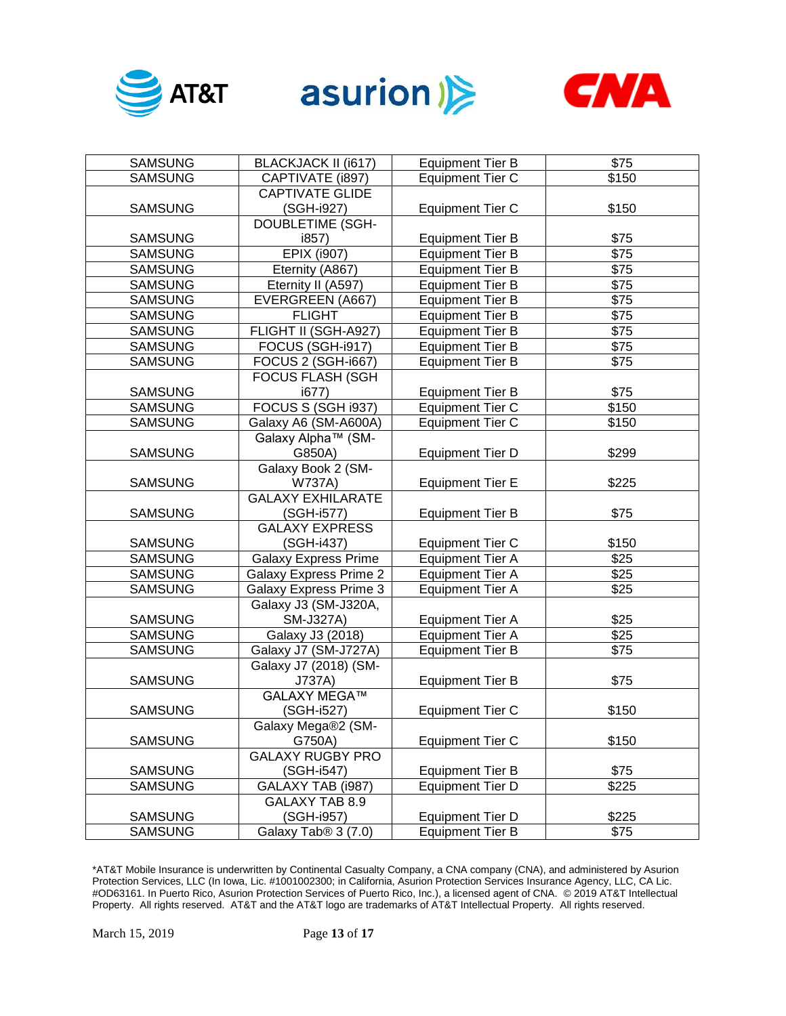





| <b>SAMSUNG</b> | <b>BLACKJACK II (i617)</b>      | <b>Equipment Tier B</b> | \$75             |
|----------------|---------------------------------|-------------------------|------------------|
| <b>SAMSUNG</b> | CAPTIVATE (i897)                | <b>Equipment Tier C</b> | \$150            |
|                | <b>CAPTIVATE GLIDE</b>          |                         |                  |
| <b>SAMSUNG</b> | (SGH-i927)                      | <b>Equipment Tier C</b> | \$150            |
|                | DOUBLETIME (SGH-                |                         |                  |
| <b>SAMSUNG</b> | i857)                           | <b>Equipment Tier B</b> | \$75             |
| <b>SAMSUNG</b> | <b>EPIX (i907)</b>              | <b>Equipment Tier B</b> | $\sqrt{575}$     |
| <b>SAMSUNG</b> | Eternity (A867)                 | <b>Equipment Tier B</b> | $\sqrt{$75}$     |
| <b>SAMSUNG</b> | Eternity II (A597)              | <b>Equipment Tier B</b> | \$75             |
| <b>SAMSUNG</b> | <b>EVERGREEN (A667)</b>         | <b>Equipment Tier B</b> | \$75             |
| <b>SAMSUNG</b> | <b>FLIGHT</b>                   | <b>Equipment Tier B</b> | $\sqrt{$75}$     |
| <b>SAMSUNG</b> | FLIGHT II (SGH-A927)            | <b>Equipment Tier B</b> | $\sqrt{$75}$     |
| <b>SAMSUNG</b> | FOCUS (SGH-i917)                | <b>Equipment Tier B</b> | $\sqrt{$75}$     |
| <b>SAMSUNG</b> | <b>FOCUS 2 (SGH-i667)</b>       | <b>Equipment Tier B</b> | $\sqrt{$75}$     |
|                | <b>FOCUS FLASH (SGH</b>         |                         |                  |
| <b>SAMSUNG</b> | i677                            | <b>Equipment Tier B</b> | \$75             |
| <b>SAMSUNG</b> | <b>FOCUS S (SGH i937)</b>       | <b>Equipment Tier C</b> | \$150            |
| <b>SAMSUNG</b> | Galaxy A6 (SM-A600A)            | <b>Equipment Tier C</b> | \$150            |
|                | Galaxy Alpha™ (SM-              |                         |                  |
| <b>SAMSUNG</b> | G850A)                          | <b>Equipment Tier D</b> | \$299            |
|                | Galaxy Book 2 (SM-              |                         |                  |
| <b>SAMSUNG</b> | <b>W737A)</b>                   | <b>Equipment Tier E</b> | \$225            |
|                | <b>GALAXY EXHILARATE</b>        |                         |                  |
| <b>SAMSUNG</b> | (SGH-i577)                      | <b>Equipment Tier B</b> | \$75             |
|                | <b>GALAXY EXPRESS</b>           |                         |                  |
| <b>SAMSUNG</b> | (SGH-i437)                      | <b>Equipment Tier C</b> | \$150            |
| <b>SAMSUNG</b> | <b>Galaxy Express Prime</b>     | <b>Equipment Tier A</b> | \$25             |
| <b>SAMSUNG</b> | <b>Galaxy Express Prime 2</b>   | <b>Equipment Tier A</b> | \$25             |
| <b>SAMSUNG</b> | <b>Galaxy Express Prime 3</b>   | <b>Equipment Tier A</b> | \$25             |
|                | Galaxy J3 (SM-J320A,            |                         |                  |
| <b>SAMSUNG</b> | SM-J327A)                       | <b>Equipment Tier A</b> | \$25             |
| <b>SAMSUNG</b> | Galaxy J3 (2018)                | <b>Equipment Tier A</b> | $\overline{$25}$ |
| <b>SAMSUNG</b> | Galaxy J7 (SM-J727A)            | <b>Equipment Tier B</b> | \$75             |
|                | Galaxy J7 (2018) (SM-           |                         |                  |
| <b>SAMSUNG</b> | J737A)                          | <b>Equipment Tier B</b> | \$75             |
|                | <b>GALAXY MEGA™</b>             |                         |                  |
| <b>SAMSUNG</b> | (SGH-i527)                      | <b>Equipment Tier C</b> | \$150            |
|                | Galaxy Mega®2 (SM-              |                         |                  |
| <b>SAMSUNG</b> | G750A)                          | <b>Equipment Tier C</b> | \$150            |
|                | <b>GALAXY RUGBY PRO</b>         |                         |                  |
| <b>SAMSUNG</b> | (SGH-i547)                      | <b>Equipment Tier B</b> | \$75             |
| <b>SAMSUNG</b> | GALAXY TAB (i987)               | <b>Equipment Tier D</b> | \$225            |
|                | GALAXY TAB 8.9                  |                         |                  |
| <b>SAMSUNG</b> | (SGH-i957)                      | <b>Equipment Tier D</b> | \$225            |
| <b>SAMSUNG</b> | Galaxy Tab <sup>®</sup> 3 (7.0) | <b>Equipment Tier B</b> | \$75             |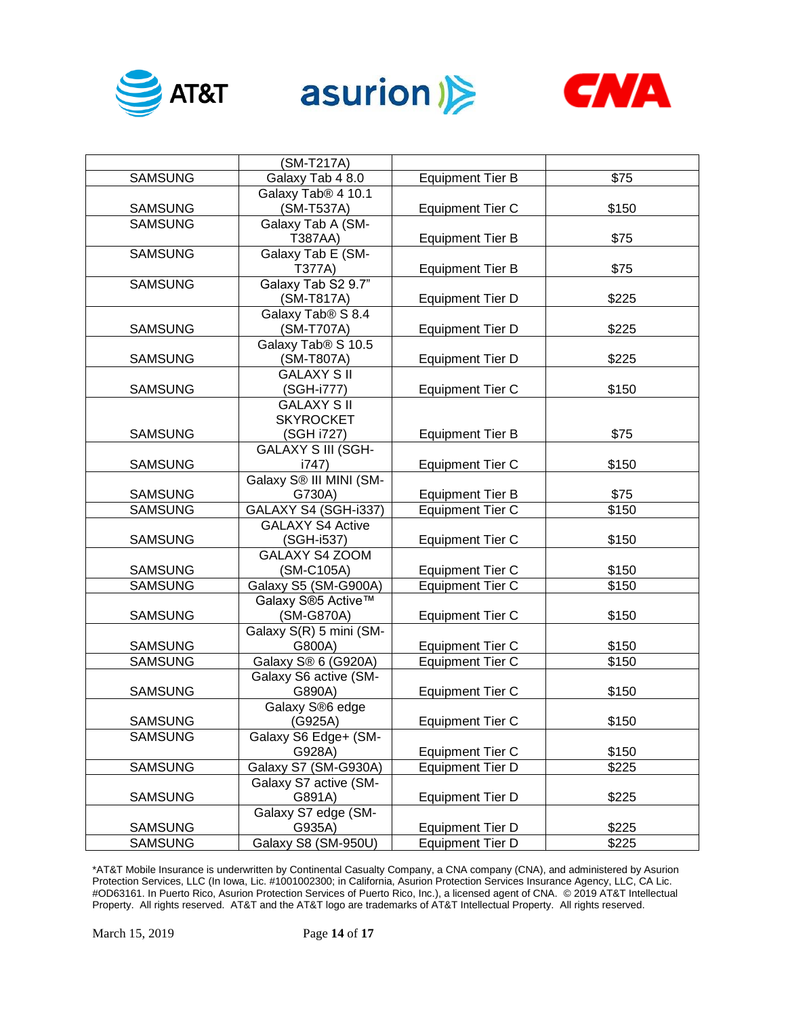





|                | (SM-T217A)                     |                         |       |
|----------------|--------------------------------|-------------------------|-------|
| <b>SAMSUNG</b> | Galaxy Tab 4 8.0               | <b>Equipment Tier B</b> | \$75  |
|                | Galaxy Tab <sup>®</sup> 4 10.1 |                         |       |
| <b>SAMSUNG</b> | (SM-T537A)                     | <b>Equipment Tier C</b> | \$150 |
| <b>SAMSUNG</b> | Galaxy Tab A (SM-              |                         |       |
|                | T387AA)                        | <b>Equipment Tier B</b> | \$75  |
| <b>SAMSUNG</b> | Galaxy Tab E (SM-              |                         |       |
|                | T377A)                         | <b>Equipment Tier B</b> | \$75  |
| <b>SAMSUNG</b> | Galaxy Tab S2 9.7"             |                         |       |
|                | (SM-T817A)                     | <b>Equipment Tier D</b> | \$225 |
|                | Galaxy Tab <sup>®</sup> S 8.4  |                         |       |
| <b>SAMSUNG</b> | (SM-T707A)                     | <b>Equipment Tier D</b> | \$225 |
|                | Galaxy Tab <sup>®</sup> S 10.5 |                         |       |
| <b>SAMSUNG</b> | (SM-T807A)                     | <b>Equipment Tier D</b> | \$225 |
|                | <b>GALAXY SII</b>              |                         |       |
| <b>SAMSUNG</b> | (SGH-i777)                     | <b>Equipment Tier C</b> | \$150 |
|                | <b>GALAXY SII</b>              |                         |       |
|                | <b>SKYROCKET</b>               |                         |       |
| <b>SAMSUNG</b> | (SGH i727)                     | <b>Equipment Tier B</b> | \$75  |
|                | <b>GALAXY S III (SGH-</b>      |                         |       |
| <b>SAMSUNG</b> | i747)                          | <b>Equipment Tier C</b> | \$150 |
|                | Galaxy S® III MINI (SM-        |                         |       |
| <b>SAMSUNG</b> | G730A)                         | <b>Equipment Tier B</b> | \$75  |
| <b>SAMSUNG</b> | GALAXY S4 (SGH-i337)           | <b>Equipment Tier C</b> | \$150 |
|                | <b>GALAXY S4 Active</b>        |                         |       |
| <b>SAMSUNG</b> | (SGH-i537)                     | Equipment Tier C        | \$150 |
|                | <b>GALAXY S4 ZOOM</b>          |                         |       |
| <b>SAMSUNG</b> | (SM-C105A)                     | <b>Equipment Tier C</b> | \$150 |
| <b>SAMSUNG</b> | Galaxy S5 (SM-G900A)           | <b>Equipment Tier C</b> | \$150 |
|                | Galaxy S®5 Active™             |                         |       |
| <b>SAMSUNG</b> | (SM-G870A)                     | <b>Equipment Tier C</b> | \$150 |
|                | Galaxy S(R) 5 mini (SM-        |                         |       |
| <b>SAMSUNG</b> | G800A)                         | <b>Equipment Tier C</b> | \$150 |
| <b>SAMSUNG</b> | Galaxy S® 6 (G920A)            | <b>Equipment Tier C</b> | \$150 |
|                | Galaxy S6 active (SM-          |                         |       |
| <b>SAMSUNG</b> | G890A)                         | <b>Equipment Tier C</b> | \$150 |
|                | Galaxy S®6 edge                |                         |       |
| <b>SAMSUNG</b> | (G925A)                        | <b>Equipment Tier C</b> | \$150 |
| <b>SAMSUNG</b> | Galaxy S6 Edge+ (SM-           |                         |       |
|                | G928A)                         | <b>Equipment Tier C</b> | \$150 |
| <b>SAMSUNG</b> | Galaxy S7 (SM-G930A)           | <b>Equipment Tier D</b> | \$225 |
|                | Galaxy S7 active (SM-          |                         |       |
| <b>SAMSUNG</b> | G891A)                         | <b>Equipment Tier D</b> | \$225 |
|                | Galaxy S7 edge (SM-            |                         |       |
| <b>SAMSUNG</b> | G935A)                         | <b>Equipment Tier D</b> | \$225 |
| <b>SAMSUNG</b> | Galaxy S8 (SM-950U)            | <b>Equipment Tier D</b> | \$225 |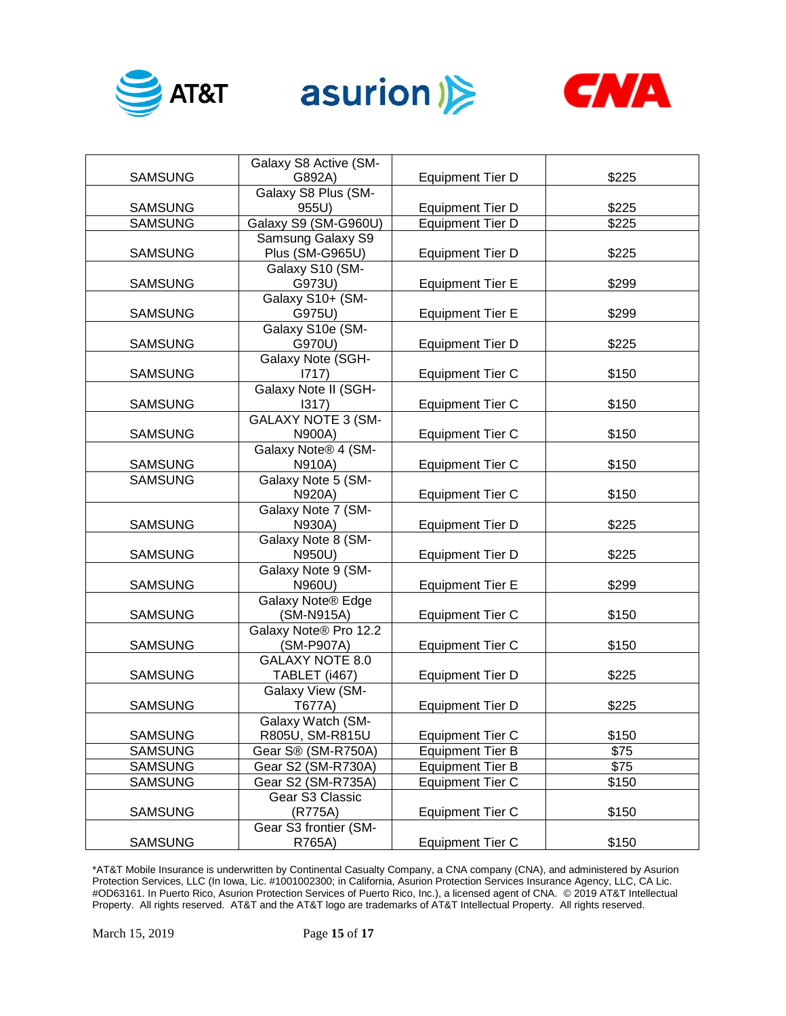





|                | Galaxy S8 Active (SM-     |                         |       |
|----------------|---------------------------|-------------------------|-------|
| <b>SAMSUNG</b> | G892A)                    | <b>Equipment Tier D</b> | \$225 |
|                | Galaxy S8 Plus (SM-       |                         |       |
| <b>SAMSUNG</b> | 955U)                     | <b>Equipment Tier D</b> | \$225 |
| <b>SAMSUNG</b> | Galaxy S9 (SM-G960U)      | Equipment Tier D        | \$225 |
|                | Samsung Galaxy S9         |                         |       |
| <b>SAMSUNG</b> | Plus (SM-G965U)           | <b>Equipment Tier D</b> | \$225 |
|                | Galaxy S10 (SM-           |                         |       |
| <b>SAMSUNG</b> | G973U)                    | <b>Equipment Tier E</b> | \$299 |
|                | Galaxy S10+ (SM-          |                         |       |
| <b>SAMSUNG</b> | G975U)                    | <b>Equipment Tier E</b> | \$299 |
|                | Galaxy S10e (SM-          |                         |       |
| <b>SAMSUNG</b> | G970U)                    | <b>Equipment Tier D</b> | \$225 |
|                | Galaxy Note (SGH-         |                         |       |
| <b>SAMSUNG</b> | 1717)                     | <b>Equipment Tier C</b> | \$150 |
|                | Galaxy Note II (SGH-      |                         |       |
| <b>SAMSUNG</b> | 1317)                     | <b>Equipment Tier C</b> | \$150 |
|                | <b>GALAXY NOTE 3 (SM-</b> |                         |       |
| <b>SAMSUNG</b> | N900A)                    | <b>Equipment Tier C</b> | \$150 |
|                | Galaxy Note® 4 (SM-       |                         |       |
| <b>SAMSUNG</b> | N910A)                    | <b>Equipment Tier C</b> | \$150 |
| <b>SAMSUNG</b> | Galaxy Note 5 (SM-        |                         |       |
|                | N920A)                    | <b>Equipment Tier C</b> | \$150 |
|                | Galaxy Note 7 (SM-        |                         |       |
| <b>SAMSUNG</b> | N930A)                    | <b>Equipment Tier D</b> | \$225 |
|                | Galaxy Note 8 (SM-        |                         |       |
| <b>SAMSUNG</b> | N950U)                    | <b>Equipment Tier D</b> | \$225 |
|                | Galaxy Note 9 (SM-        |                         |       |
| <b>SAMSUNG</b> | N960U)                    | <b>Equipment Tier E</b> | \$299 |
|                | Galaxy Note® Edge         |                         |       |
| <b>SAMSUNG</b> | (SM-N915A)                | <b>Equipment Tier C</b> | \$150 |
|                | Galaxy Note® Pro 12.2     |                         |       |
| <b>SAMSUNG</b> | (SM-P907A)                | <b>Equipment Tier C</b> | \$150 |
|                | <b>GALAXY NOTE 8.0</b>    |                         |       |
| <b>SAMSUNG</b> | TABLET (i467)             | <b>Equipment Tier D</b> | \$225 |
|                | Galaxy View (SM-          |                         |       |
| <b>SAMSUNG</b> | T677A)                    | <b>Equipment Tier D</b> | \$225 |
|                | Galaxy Watch (SM-         |                         |       |
| <b>SAMSUNG</b> | R805U, SM-R815U           | <b>Equipment Tier C</b> | \$150 |
| <b>SAMSUNG</b> | Gear S® (SM-R750A)        | <b>Equipment Tier B</b> | \$75  |
| <b>SAMSUNG</b> | Gear S2 (SM-R730A)        | <b>Equipment Tier B</b> | \$75  |
| <b>SAMSUNG</b> | Gear S2 (SM-R735A)        | <b>Equipment Tier C</b> | \$150 |
|                | Gear S3 Classic           |                         |       |
| <b>SAMSUNG</b> | (R775A)                   | <b>Equipment Tier C</b> | \$150 |
|                | Gear S3 frontier (SM-     |                         |       |
| <b>SAMSUNG</b> | R765A)                    | <b>Equipment Tier C</b> | \$150 |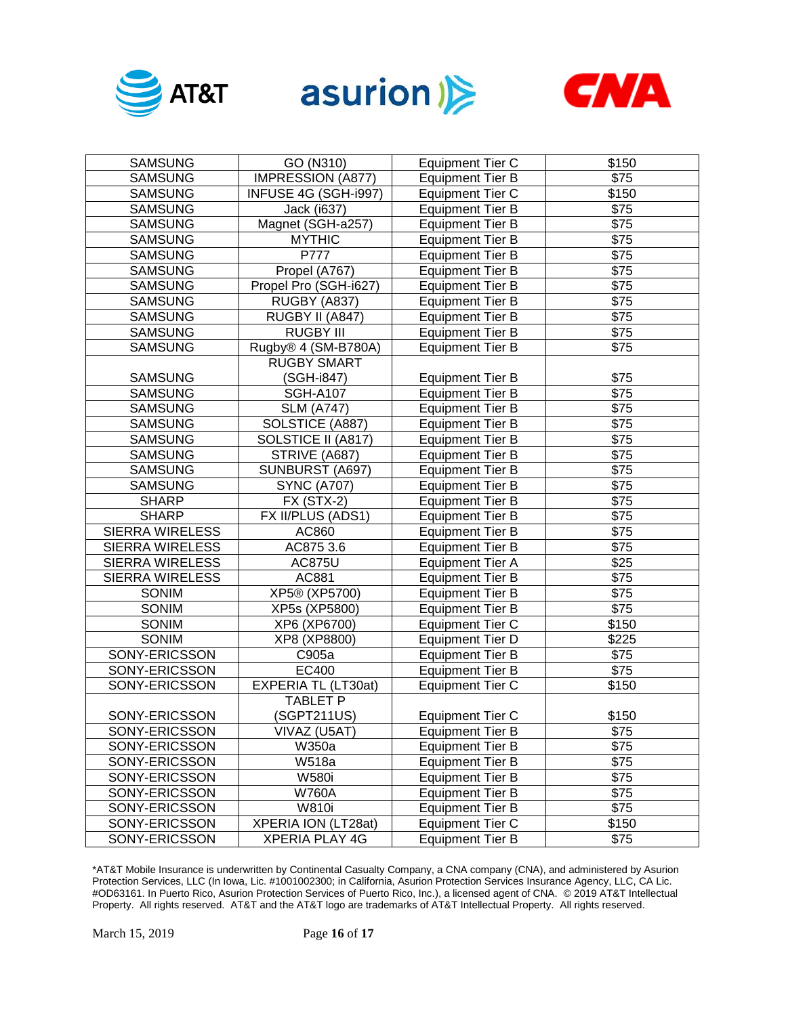





| <b>SAMSUNG</b>         | GO (N310)                | <b>Equipment Tier C</b> | \$150            |
|------------------------|--------------------------|-------------------------|------------------|
| <b>SAMSUNG</b>         | <b>IMPRESSION (A877)</b> | <b>Equipment Tier B</b> | \$75             |
| <b>SAMSUNG</b>         | INFUSE 4G (SGH-i997)     | <b>Equipment Tier C</b> | \$150            |
| <b>SAMSUNG</b>         | Jack (i637)              | <b>Equipment Tier B</b> | \$75             |
| <b>SAMSUNG</b>         | Magnet (SGH-a257)        | <b>Equipment Tier B</b> | \$75             |
| <b>SAMSUNG</b>         | <b>MYTHIC</b>            | <b>Equipment Tier B</b> | \$75             |
| <b>SAMSUNG</b>         | P777                     | <b>Equipment Tier B</b> | \$75             |
| <b>SAMSUNG</b>         | Propel (A767)            | <b>Equipment Tier B</b> | \$75             |
| <b>SAMSUNG</b>         | Propel Pro (SGH-i627)    | <b>Equipment Tier B</b> | \$75             |
| <b>SAMSUNG</b>         | RUGBY (A837)             | <b>Equipment Tier B</b> | \$75             |
| <b>SAMSUNG</b>         | RUGBY II (A847)          | <b>Equipment Tier B</b> | \$75             |
| <b>SAMSUNG</b>         | <b>RUGBY III</b>         | <b>Equipment Tier B</b> | \$75             |
| <b>SAMSUNG</b>         | Rugby® 4 (SM-B780A)      | <b>Equipment Tier B</b> | \$75             |
|                        | <b>RUGBY SMART</b>       |                         |                  |
| <b>SAMSUNG</b>         | (SGH-i847)               | <b>Equipment Tier B</b> | \$75             |
| <b>SAMSUNG</b>         | <b>SGH-A107</b>          | <b>Equipment Tier B</b> | $\overline{$75}$ |
| <b>SAMSUNG</b>         | <b>SLM (A747)</b>        | <b>Equipment Tier B</b> | \$75             |
| <b>SAMSUNG</b>         | SOLSTICE (A887)          | <b>Equipment Tier B</b> | \$75             |
| <b>SAMSUNG</b>         | SOLSTICE II (A817)       | <b>Equipment Tier B</b> | \$75             |
| <b>SAMSUNG</b>         | STRIVE (A687)            | <b>Equipment Tier B</b> | $\overline{$75}$ |
| <b>SAMSUNG</b>         | SUNBURST (A697)          | <b>Equipment Tier B</b> | $\overline{$75}$ |
| <b>SAMSUNG</b>         | <b>SYNC (A707)</b>       | <b>Equipment Tier B</b> | $\overline{$75}$ |
| <b>SHARP</b>           | FX (STX-2)               | <b>Equipment Tier B</b> | $\overline{$75}$ |
| <b>SHARP</b>           | FX II/PLUS (ADS1)        | <b>Equipment Tier B</b> | $\overline{$75}$ |
| <b>SIERRA WIRELESS</b> | AC860                    | <b>Equipment Tier B</b> | \$75             |
| <b>SIERRA WIRELESS</b> | AC875 3.6                | <b>Equipment Tier B</b> | \$75             |
| <b>SIERRA WIRELESS</b> | <b>AC875U</b>            | <b>Equipment Tier A</b> | $\overline{$25}$ |
| <b>SIERRA WIRELESS</b> | AC881                    | <b>Equipment Tier B</b> | $\overline{$75}$ |
| <b>SONIM</b>           | XP5® (XP5700)            | <b>Equipment Tier B</b> | \$75             |
| SONIM                  | XP5s (XP5800)            | <b>Equipment Tier B</b> | \$75             |
| SONIM                  | XP6 (XP6700)             | <b>Equipment Tier C</b> | \$150            |
| SONIM                  | XP8 (XP8800)             | <b>Equipment Tier D</b> | \$225            |
| SONY-ERICSSON          | C905a                    | <b>Equipment Tier B</b> | \$75             |
| SONY-ERICSSON          | EC400                    | <b>Equipment Tier B</b> | \$75             |
| SONY-ERICSSON          | EXPERIA TL (LT30at)      | <b>Equipment Tier C</b> | \$150            |
|                        | <b>TABLET P</b>          |                         |                  |
| SONY-ERICSSON          | (SGPT211US)              | <b>Equipment Tier C</b> | \$150            |
| SONY-ERICSSON          | VIVAZ (U5AT)             | <b>Equipment Tier B</b> | \$75             |
| SONY-ERICSSON          | W350a                    | <b>Equipment Tier B</b> | \$75             |
| SONY-ERICSSON          | W518a                    | <b>Equipment Tier B</b> | \$75             |
| SONY-ERICSSON          | <b>W580i</b>             | <b>Equipment Tier B</b> | \$75             |
| SONY-ERICSSON          | <b>W760A</b>             | <b>Equipment Tier B</b> | \$75             |
| SONY-ERICSSON          | <b>W810i</b>             | <b>Equipment Tier B</b> | \$75             |
| SONY-ERICSSON          | XPERIA ION (LT28at)      | <b>Equipment Tier C</b> | \$150            |
| SONY-ERICSSON          | <b>XPERIA PLAY 4G</b>    | <b>Equipment Tier B</b> | \$75             |